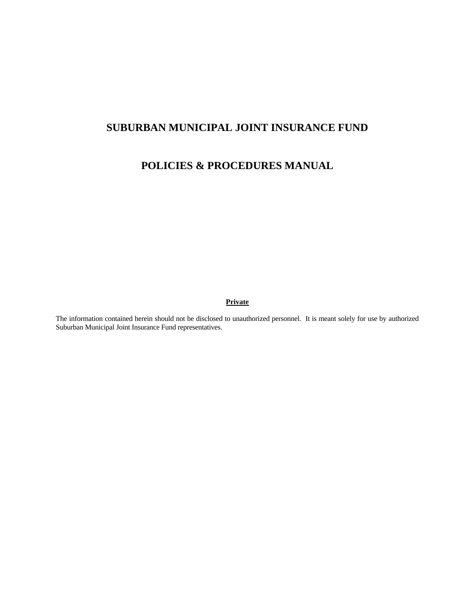# **SUBURBAN MUNICIPAL JOINT INSURANCE FUND**

# **POLICIES & PROCEDURES MANUAL**

#### **Private**

The information contained herein should not be disclosed to unauthorized personnel. It is meant solely for use by authorized Suburban Municipal Joint Insurance Fund representatives.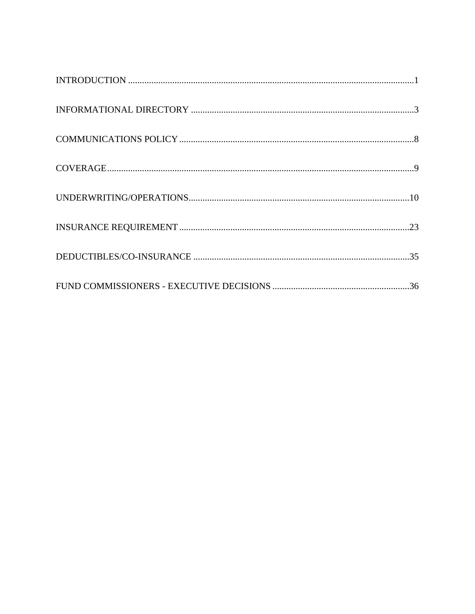| $\label{thm:nonre} \mbox{INFORMATIONAL DIRECTORY} \,\, \ldots \,\, \ldots \,\, \ldots \,\, \ldots \,\, \ldots \,\, \ldots \,\, \ldots \,\, \ldots \,\, \ldots \,\, \ldots \,\, \ldots \,\, \ldots \,\, \ldots \,\, \ldots \,\, \ldots \,\, \ldots \,\, \ldots \,\, \ldots \,\, \ldots \,\, \ldots \,\, \ldots \,\, \ldots \,\, \ldots \,\, \ldots \,\, \ldots \,\, \ldots \,\, \ldots \,\, \ldots \,\, \ldots \,\, \ldots \,\, \ldots \,\, \ldots \,\, \ldots$ |  |
|----------------------------------------------------------------------------------------------------------------------------------------------------------------------------------------------------------------------------------------------------------------------------------------------------------------------------------------------------------------------------------------------------------------------------------------------------------------|--|
|                                                                                                                                                                                                                                                                                                                                                                                                                                                                |  |
|                                                                                                                                                                                                                                                                                                                                                                                                                                                                |  |
|                                                                                                                                                                                                                                                                                                                                                                                                                                                                |  |
|                                                                                                                                                                                                                                                                                                                                                                                                                                                                |  |
|                                                                                                                                                                                                                                                                                                                                                                                                                                                                |  |
|                                                                                                                                                                                                                                                                                                                                                                                                                                                                |  |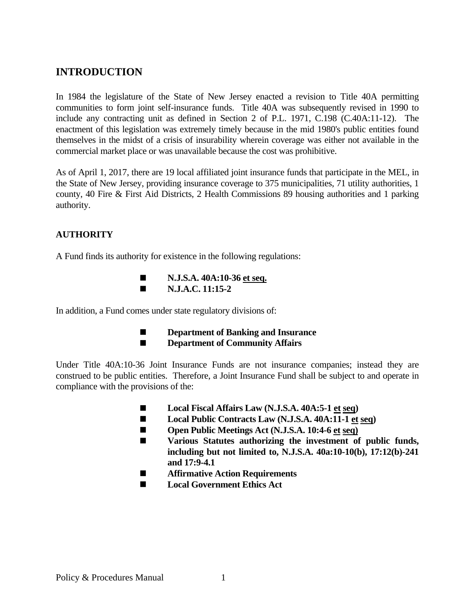# **INTRODUCTION**

In 1984 the legislature of the State of New Jersey enacted a revision to Title 40A permitting communities to form joint self-insurance funds. Title 40A was subsequently revised in 1990 to include any contracting unit as defined in Section 2 of P.L. 1971, C.198 (C.40A:11-12). The enactment of this legislation was extremely timely because in the mid 1980's public entities found themselves in the midst of a crisis of insurability wherein coverage was either not available in the commercial market place or was unavailable because the cost was prohibitive.

As of April 1, 2017, there are 19 local affiliated joint insurance funds that participate in the MEL, in the State of New Jersey, providing insurance coverage to 375 municipalities, 71 utility authorities, 1 county, 40 Fire & First Aid Districts, 2 Health Commissions 89 housing authorities and 1 parking authority.

# **AUTHORITY**

A Fund finds its authority for existence in the following regulations:

■ **N.J.S.A.** 40A:10-36 et seq.  **N.J.A.C. 11:15-2** 

In addition, a Fund comes under state regulatory divisions of:

- **Department of Banking and Insurance**
- **Department of Community Affairs**

Under Title 40A:10-36 Joint Insurance Funds are not insurance companies; instead they are construed to be public entities. Therefore, a Joint Insurance Fund shall be subject to and operate in compliance with the provisions of the:

- Local Fiscal Affairs Law (N.J.S.A. 40A:5-1 et seq)
- Local Public Contracts Law (N.J.S.A. 40A:11-1 et seq)
- Open Public Meetings Act (N.J.S.A. 10:4-6 et seq)
- **Various Statutes authorizing the investment of public funds, including but not limited to, N.J.S.A. 40a:10-10(b), 17:12(b)-241 and 17:9-4.1**
- **Affirmative Action Requirements**
- **Local Government Ethics Act**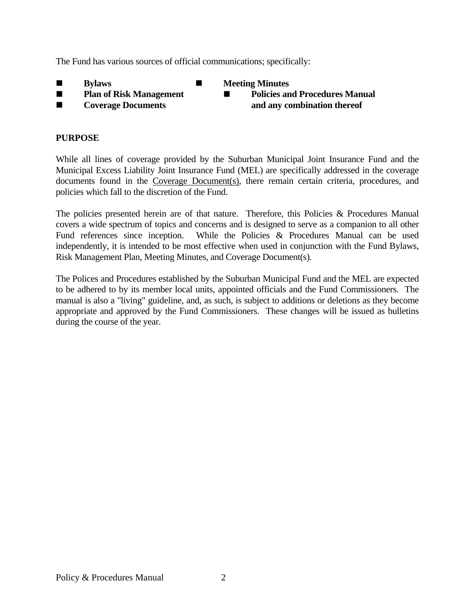The Fund has various sources of official communications; specifically:

- 
- $\blacksquare$  Bylaws **Letting Minutes**
- 
- 
- **Plan of Risk Management Policies and Procedures Manual Procedures Manual Procedures Manual Procedures Manual Procedures Manual Procedures Manual Procedures Manual Procedures Manual Procedures Manual Procedures Manual Pr**  $\blacksquare$  Coverage Documents **and any combination thereof**

# **PURPOSE**

While all lines of coverage provided by the Suburban Municipal Joint Insurance Fund and the Municipal Excess Liability Joint Insurance Fund (MEL) are specifically addressed in the coverage documents found in the Coverage Document(s), there remain certain criteria, procedures, and policies which fall to the discretion of the Fund.

The policies presented herein are of that nature. Therefore, this Policies & Procedures Manual covers a wide spectrum of topics and concerns and is designed to serve as a companion to all other Fund references since inception. While the Policies & Procedures Manual can be used independently, it is intended to be most effective when used in conjunction with the Fund Bylaws, Risk Management Plan, Meeting Minutes, and Coverage Document(s).

The Polices and Procedures established by the Suburban Municipal Fund and the MEL are expected to be adhered to by its member local units, appointed officials and the Fund Commissioners. The manual is also a "living" guideline, and, as such, is subject to additions or deletions as they become appropriate and approved by the Fund Commissioners. These changes will be issued as bulletins during the course of the year.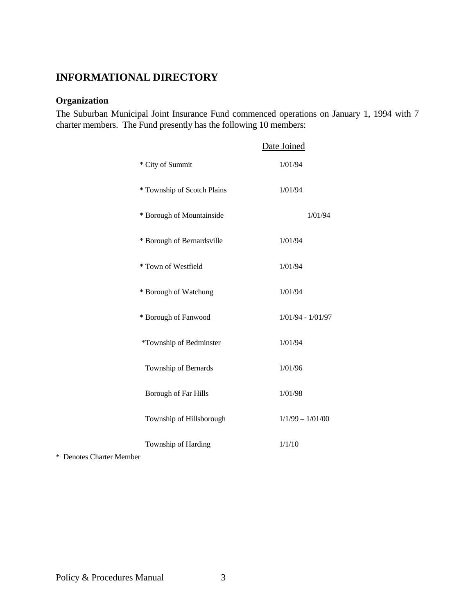# **INFORMATIONAL DIRECTORY**

# **Organization**

The Suburban Municipal Joint Insurance Fund commenced operations on January 1, 1994 with 7 charter members. The Fund presently has the following 10 members:

|                             | Date Joined         |
|-----------------------------|---------------------|
| * City of Summit            | 1/01/94             |
| * Township of Scotch Plains | 1/01/94             |
| * Borough of Mountainside   | 1/01/94             |
| * Borough of Bernardsville  | 1/01/94             |
| * Town of Westfield         | 1/01/94             |
| * Borough of Watchung       | 1/01/94             |
| * Borough of Fanwood        | $1/01/94 - 1/01/97$ |
| *Township of Bedminster     | 1/01/94             |
| Township of Bernards        | 1/01/96             |
| <b>Borough of Far Hills</b> | 1/01/98             |
| Township of Hillsborough    | $1/1/99 - 1/01/00$  |
| Township of Harding         | 1/1/10              |

\* Denotes Charter Member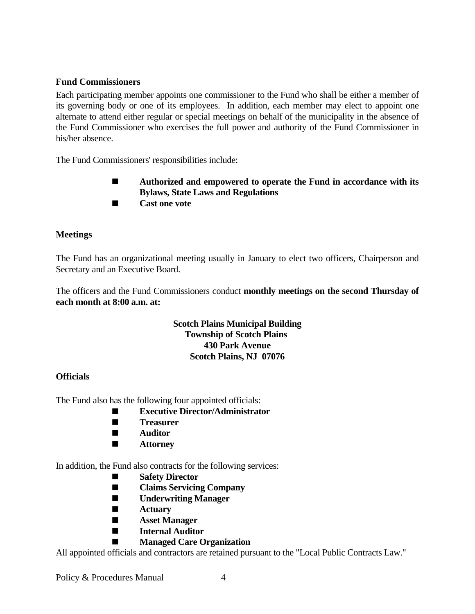# **Fund Commissioners**

Each participating member appoints one commissioner to the Fund who shall be either a member of its governing body or one of its employees. In addition, each member may elect to appoint one alternate to attend either regular or special meetings on behalf of the municipality in the absence of the Fund Commissioner who exercises the full power and authority of the Fund Commissioner in his/her absence.

The Fund Commissioners' responsibilities include:

- **Authorized and empowered to operate the Fund in accordance with its Bylaws, State Laws and Regulations**
- **Cast one vote**

# **Meetings**

The Fund has an organizational meeting usually in January to elect two officers, Chairperson and Secretary and an Executive Board.

The officers and the Fund Commissioners conduct **monthly meetings on the second Thursday of each month at 8:00 a.m. at:** 

# **Scotch Plains Municipal Building Township of Scotch Plains 430 Park Avenue Scotch Plains, NJ 07076**

### **Officials**

The Fund also has the following four appointed officials:

- **Executive Director/Administrator**
- **Treasurer**
- **Auditor**
- $\blacksquare$  **Attorney**

In addition, the Fund also contracts for the following services:

- **Safety Director**
- **Claims Servicing Company**
- **Underwriting Manager**
- **Actuary**
- **Asset Manager**
- **Internal Auditor**
	- **Managed Care Organization**

All appointed officials and contractors are retained pursuant to the "Local Public Contracts Law."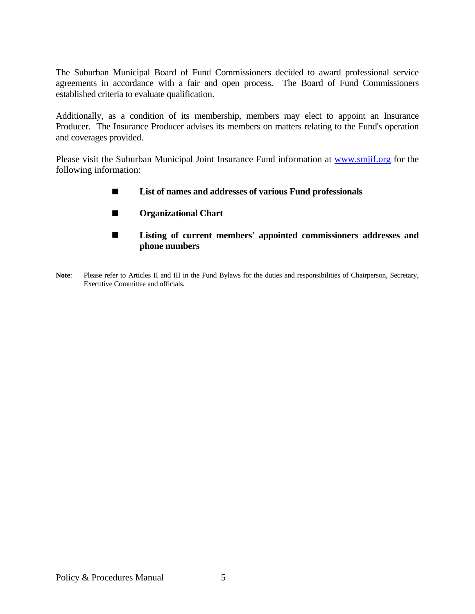The Suburban Municipal Board of Fund Commissioners decided to award professional service agreements in accordance with a fair and open process. The Board of Fund Commissioners established criteria to evaluate qualification.

Additionally, as a condition of its membership, members may elect to appoint an Insurance Producer. The Insurance Producer advises its members on matters relating to the Fund's operation and coverages provided.

Please visit the Suburban Municipal Joint Insurance Fund information at www.smjif.org for the following information:

- **List of names and addresses of various Fund professionals**
- **Organizational Chart**
- **Listing of current members' appointed commissioners addresses and phone numbers**
- Note: Please refer to Articles II and III in the Fund Bylaws for the duties and responsibilities of Chairperson, Secretary, Executive Committee and officials.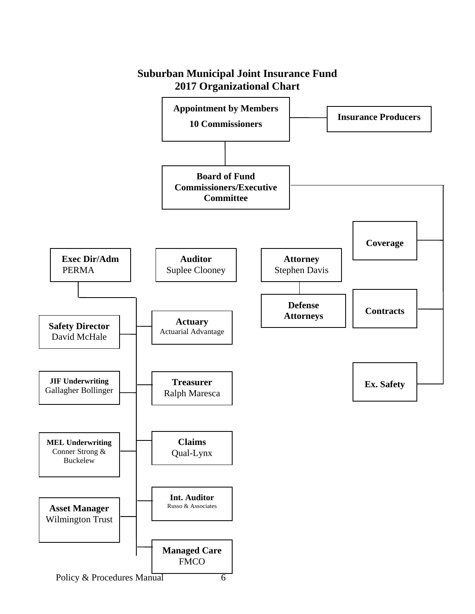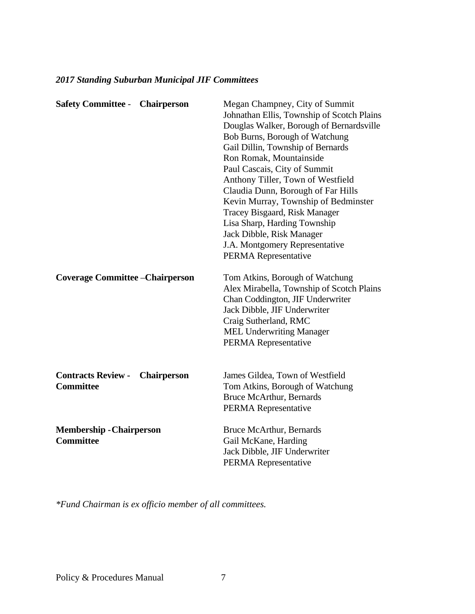| <b>Safety Committee - Chairperson</b>                               | Megan Champney, City of Summit<br>Johnathan Ellis, Township of Scotch Plains<br>Douglas Walker, Borough of Bernardsville<br>Bob Burns, Borough of Watchung<br>Gail Dillin, Township of Bernards<br>Ron Romak, Mountainside<br>Paul Cascais, City of Summit<br>Anthony Tiller, Town of Westfield<br>Claudia Dunn, Borough of Far Hills<br>Kevin Murray, Township of Bedminster<br>Tracey Bisgaard, Risk Manager<br>Lisa Sharp, Harding Township<br>Jack Dibble, Risk Manager<br>J.A. Montgomery Representative<br>PERMA Representative |
|---------------------------------------------------------------------|---------------------------------------------------------------------------------------------------------------------------------------------------------------------------------------------------------------------------------------------------------------------------------------------------------------------------------------------------------------------------------------------------------------------------------------------------------------------------------------------------------------------------------------|
| <b>Coverage Committee – Chairperson</b>                             | Tom Atkins, Borough of Watchung<br>Alex Mirabella, Township of Scotch Plains<br>Chan Coddington, JIF Underwriter<br>Jack Dibble, JIF Underwriter<br>Craig Sutherland, RMC<br><b>MEL Underwriting Manager</b><br>PERMA Representative                                                                                                                                                                                                                                                                                                  |
| <b>Contracts Review -</b><br><b>Chairperson</b><br><b>Committee</b> | James Gildea, Town of Westfield<br>Tom Atkins, Borough of Watchung<br><b>Bruce McArthur, Bernards</b><br>PERMA Representative                                                                                                                                                                                                                                                                                                                                                                                                         |
| <b>Membership - Chairperson</b><br><b>Committee</b>                 | <b>Bruce McArthur, Bernards</b><br>Gail McKane, Harding<br>Jack Dibble, JIF Underwriter<br>PERMA Representative                                                                                                                                                                                                                                                                                                                                                                                                                       |

# *2017 Standing Suburban Municipal JIF Committees*

*\*Fund Chairman is ex officio member of all committees.*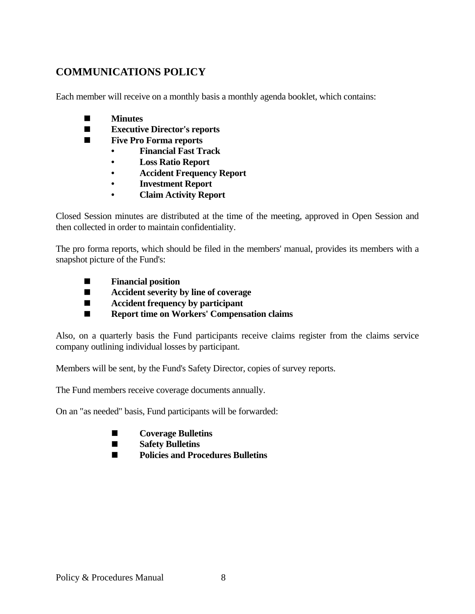# **COMMUNICATIONS POLICY**

Each member will receive on a monthly basis a monthly agenda booklet, which contains:

- **Minutes**
- **Executive Director's reports**
- **Five Pro Forma reports** 
	- **Financial Fast Track**
	- **Loss Ratio Report**
	- **Accident Frequency Report**
	- **Investment Report**
	- **Claim Activity Report**

Closed Session minutes are distributed at the time of the meeting, approved in Open Session and then collected in order to maintain confidentiality.

The pro forma reports, which should be filed in the members' manual, provides its members with a snapshot picture of the Fund's:

- **Financial position**
- **Accident severity by line of coverage**
- **Accident frequency by participant**
- Report time on Workers' Compensation claims

Also, on a quarterly basis the Fund participants receive claims register from the claims service company outlining individual losses by participant.

Members will be sent, by the Fund's Safety Director, copies of survey reports.

The Fund members receive coverage documents annually.

On an "as needed" basis, Fund participants will be forwarded:

- **Coverage Bulletins**
- **Safety Bulletins**
- **■** Policies and Procedures Bulletins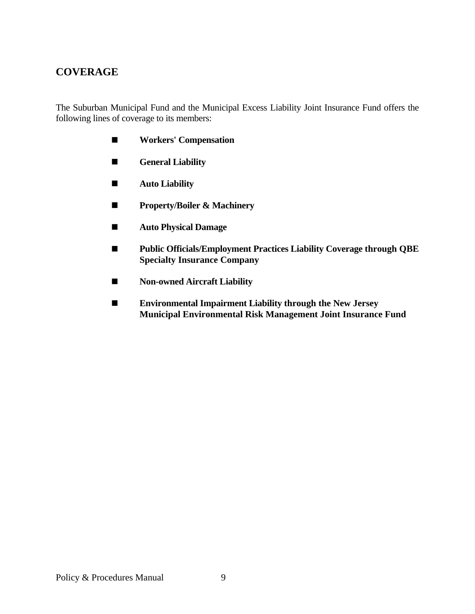# **COVERAGE**

The Suburban Municipal Fund and the Municipal Excess Liability Joint Insurance Fund offers the following lines of coverage to its members:

- **Workers' Compensation**
- $\blacksquare$  General Liability
- **Auto Liability**
- **Property/Boiler & Machinery**
- **Auto Physical Damage**
- **Public Officials/Employment Practices Liability Coverage through QBE Specialty Insurance Company**
- **Non-owned Aircraft Liability**
- **Environmental Impairment Liability through the New Jersey Municipal Environmental Risk Management Joint Insurance Fund**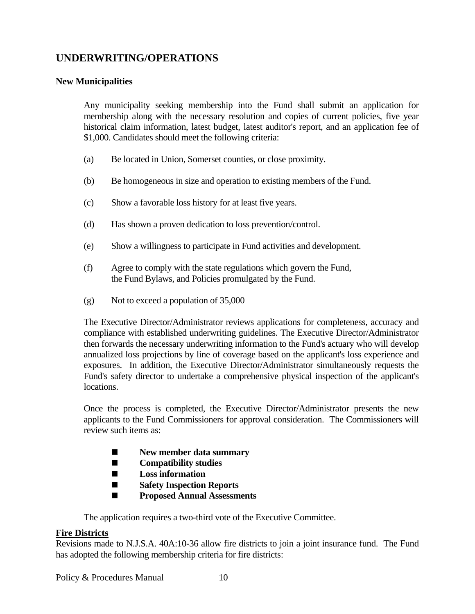# **UNDERWRITING/OPERATIONS**

# **New Municipalities**

 Any municipality seeking membership into the Fund shall submit an application for membership along with the necessary resolution and copies of current policies, five year historical claim information, latest budget, latest auditor's report, and an application fee of \$1,000. Candidates should meet the following criteria:

- (a) Be located in Union, Somerset counties, or close proximity.
- (b) Be homogeneous in size and operation to existing members of the Fund.
- (c) Show a favorable loss history for at least five years.
- (d) Has shown a proven dedication to loss prevention/control.
- (e) Show a willingness to participate in Fund activities and development.
- (f) Agree to comply with the state regulations which govern the Fund, the Fund Bylaws, and Policies promulgated by the Fund.
- (g) Not to exceed a population of 35,000

 The Executive Director/Administrator reviews applications for completeness, accuracy and compliance with established underwriting guidelines. The Executive Director/Administrator then forwards the necessary underwriting information to the Fund's actuary who will develop annualized loss projections by line of coverage based on the applicant's loss experience and exposures. In addition, the Executive Director/Administrator simultaneously requests the Fund's safety director to undertake a comprehensive physical inspection of the applicant's locations.

 Once the process is completed, the Executive Director/Administrator presents the new applicants to the Fund Commissioners for approval consideration. The Commissioners will review such items as:

- $\blacksquare$  New member data summary
- **Compatibility studies**
- **Loss information**
- **Safety Inspection Reports**
- **Proposed Annual Assessments**

The application requires a two-third vote of the Executive Committee.

### **Fire Districts**

Revisions made to N.J.S.A. 40A:10-36 allow fire districts to join a joint insurance fund. The Fund has adopted the following membership criteria for fire districts: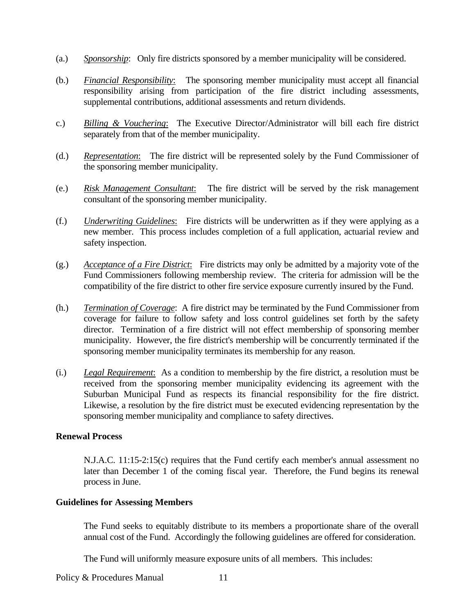- (a.) *Sponsorship*: Only fire districts sponsored by a member municipality will be considered.
- (b.) *Financial Responsibility*: The sponsoring member municipality must accept all financial responsibility arising from participation of the fire district including assessments, supplemental contributions, additional assessments and return dividends.
- c.) *Billing & Vouchering*: The Executive Director/Administrator will bill each fire district separately from that of the member municipality.
- (d.) *Representation*: The fire district will be represented solely by the Fund Commissioner of the sponsoring member municipality.
- (e.) *Risk Management Consultant*: The fire district will be served by the risk management consultant of the sponsoring member municipality.
- (f.) *Underwriting Guidelines*: Fire districts will be underwritten as if they were applying as a new member. This process includes completion of a full application, actuarial review and safety inspection.
- (g.) *Acceptance of a Fire District*: Fire districts may only be admitted by a majority vote of the Fund Commissioners following membership review. The criteria for admission will be the compatibility of the fire district to other fire service exposure currently insured by the Fund.
- (h.) *Termination of Coverage*: A fire district may be terminated by the Fund Commissioner from coverage for failure to follow safety and loss control guidelines set forth by the safety director. Termination of a fire district will not effect membership of sponsoring member municipality. However, the fire district's membership will be concurrently terminated if the sponsoring member municipality terminates its membership for any reason.
- (i.) *Legal Requirement*: As a condition to membership by the fire district, a resolution must be received from the sponsoring member municipality evidencing its agreement with the Suburban Municipal Fund as respects its financial responsibility for the fire district. Likewise, a resolution by the fire district must be executed evidencing representation by the sponsoring member municipality and compliance to safety directives.

### **Renewal Process**

 N.J.A.C. 11:15-2:15(c) requires that the Fund certify each member's annual assessment no later than December 1 of the coming fiscal year. Therefore, the Fund begins its renewal process in June.

#### **Guidelines for Assessing Members**

 The Fund seeks to equitably distribute to its members a proportionate share of the overall annual cost of the Fund. Accordingly the following guidelines are offered for consideration.

The Fund will uniformly measure exposure units of all members. This includes: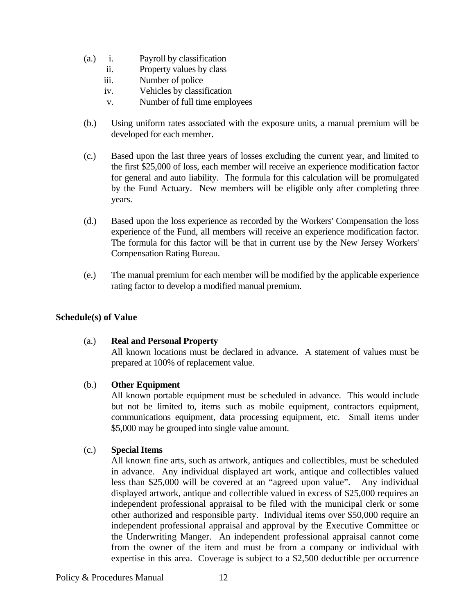- (a.) i. Payroll by classification
	- ii. Property values by class
	- iii. Number of police
	- iv. Vehicles by classification
	- v. Number of full time employees
- (b.) Using uniform rates associated with the exposure units, a manual premium will be developed for each member.
- (c.) Based upon the last three years of losses excluding the current year, and limited to the first \$25,000 of loss, each member will receive an experience modification factor for general and auto liability. The formula for this calculation will be promulgated by the Fund Actuary. New members will be eligible only after completing three years.
- (d.) Based upon the loss experience as recorded by the Workers' Compensation the loss experience of the Fund, all members will receive an experience modification factor. The formula for this factor will be that in current use by the New Jersey Workers' Compensation Rating Bureau.
- (e.) The manual premium for each member will be modified by the applicable experience rating factor to develop a modified manual premium.

### **Schedule(s) of Value**

### (a.) **Real and Personal Property**

 All known locations must be declared in advance. A statement of values must be prepared at 100% of replacement value.

### (b.) **Other Equipment**

 All known portable equipment must be scheduled in advance. This would include but not be limited to, items such as mobile equipment, contractors equipment, communications equipment, data processing equipment, etc. Small items under \$5,000 may be grouped into single value amount.

### (c.) **Special Items**

All known fine arts, such as artwork, antiques and collectibles, must be scheduled in advance. Any individual displayed art work, antique and collectibles valued less than \$25,000 will be covered at an "agreed upon value". Any individual displayed artwork, antique and collectible valued in excess of \$25,000 requires an independent professional appraisal to be filed with the municipal clerk or some other authorized and responsible party. Individual items over \$50,000 require an independent professional appraisal and approval by the Executive Committee or the Underwriting Manger. An independent professional appraisal cannot come from the owner of the item and must be from a company or individual with expertise in this area. Coverage is subject to a \$2,500 deductible per occurrence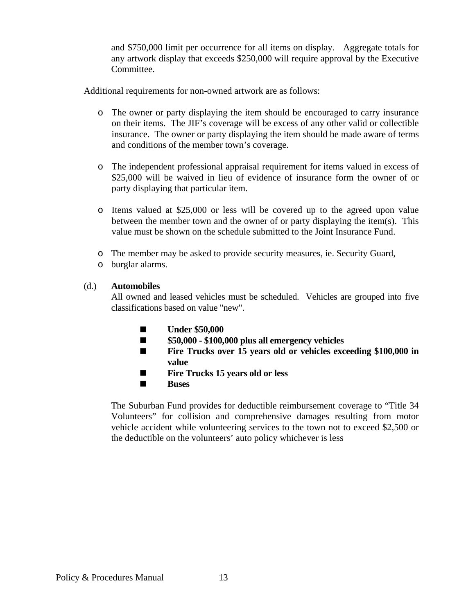and \$750,000 limit per occurrence for all items on display. Aggregate totals for any artwork display that exceeds \$250,000 will require approval by the Executive Committee.

Additional requirements for non-owned artwork are as follows:

- o The owner or party displaying the item should be encouraged to carry insurance on their items. The JIF's coverage will be excess of any other valid or collectible insurance. The owner or party displaying the item should be made aware of terms and conditions of the member town's coverage.
- o The independent professional appraisal requirement for items valued in excess of \$25,000 will be waived in lieu of evidence of insurance form the owner of or party displaying that particular item.
- o Items valued at \$25,000 or less will be covered up to the agreed upon value between the member town and the owner of or party displaying the item(s). This value must be shown on the schedule submitted to the Joint Insurance Fund.
- o The member may be asked to provide security measures, ie. Security Guard,
- o burglar alarms.

# (d.) **Automobiles**

 All owned and leased vehicles must be scheduled. Vehicles are grouped into five classifications based on value "new".

- **Under \$50,000**
- **\$50,000 \$100,000 plus all emergency vehicles**
- Fire Trucks over 15 years old or vehicles exceeding \$100,000 in **value**
- **Fire Trucks 15 years old or less**
- **E** Buses

The Suburban Fund provides for deductible reimbursement coverage to "Title 34 Volunteers" for collision and comprehensive damages resulting from motor vehicle accident while volunteering services to the town not to exceed \$2,500 or the deductible on the volunteers' auto policy whichever is less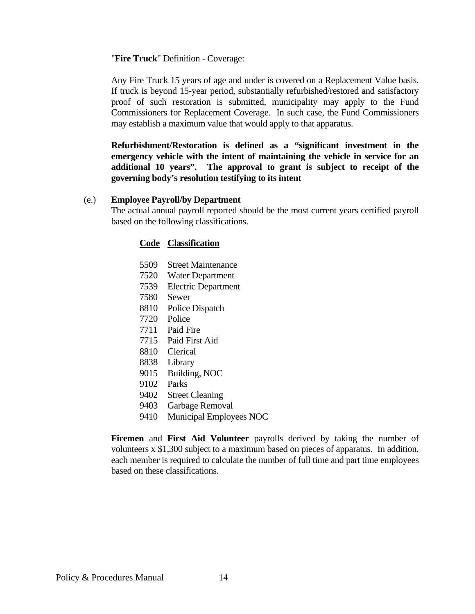#### "**Fire Truck**" Definition - Coverage:

 Any Fire Truck 15 years of age and under is covered on a Replacement Value basis. If truck is beyond 15-year period, substantially refurbished/restored and satisfactory proof of such restoration is submitted, municipality may apply to the Fund Commissioners for Replacement Coverage. In such case, the Fund Commissioners may establish a maximum value that would apply to that apparatus.

 **Refurbishment/Restoration is defined as a "significant investment in the emergency vehicle with the intent of maintaining the vehicle in service for an additional 10 years". The approval to grant is subject to receipt of the governing body's resolution testifying to its intent**

#### (e.) **Employee Payroll/by Department**

 The actual annual payroll reported should be the most current years certified payroll based on the following classifications.

### **Code Classification**

- 5509 Street Maintenance
- 7520 Water Department
- 7539 Electric Department
- 7580 Sewer
- 8810 Police Dispatch
- 7720 Police
- 7711 Paid Fire
- 7715 Paid First Aid
- 8810 Clerical
- 8838 Library
- 9015 Building, NOC
- 9102 Parks
- 9402 Street Cleaning
- 9403 Garbage Removal
- 9410 Municipal Employees NOC

 **Firemen** and **First Aid Volunteer** payrolls derived by taking the number of volunteers x \$1,300 subject to a maximum based on pieces of apparatus. In addition, each member is required to calculate the number of full time and part time employees based on these classifications.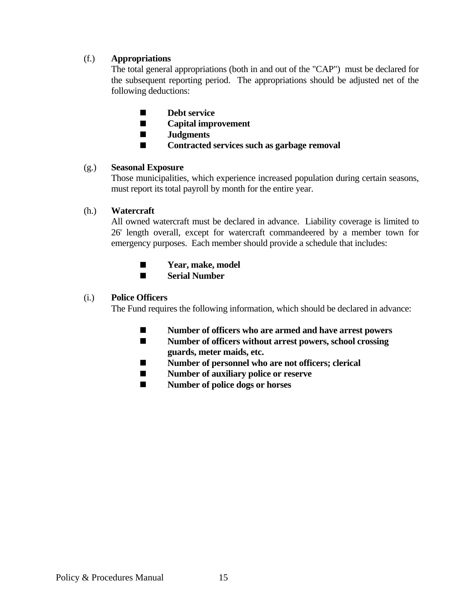# (f.) **Appropriations**

 The total general appropriations (both in and out of the "CAP") must be declared for the subsequent reporting period. The appropriations should be adjusted net of the following deductions:

- **Debt service**
- **Capital improvement**
- **Judgments**
- **Contracted services such as garbage removal**

### (g.) **Seasonal Exposure**

 Those municipalities, which experience increased population during certain seasons, must report its total payroll by month for the entire year.

# (h.) **Watercraft**

 All owned watercraft must be declared in advance. Liability coverage is limited to 26' length overall, except for watercraft commandeered by a member town for emergency purposes. Each member should provide a schedule that includes:

- $\blacksquare$  Year, make, model
- **Serial Number**

# (i.) **Police Officers**

The Fund requires the following information, which should be declared in advance:

- **Number of officers who are armed and have arrest powers**
- **Number of officers without arrest powers, school crossing guards, meter maids, etc.**
- **Number of personnel who are not officers; clerical**
- **Number of auxiliary police or reserve**
- **Number of police dogs or horses**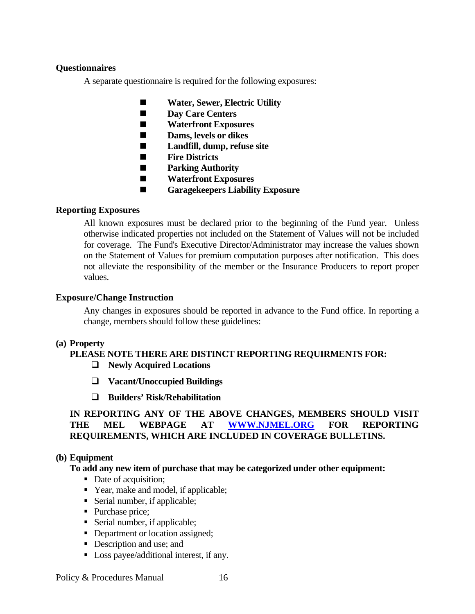# **Questionnaires**

A separate questionnaire is required for the following exposures:

- **Water, Sewer, Electric Utility**
- **Day Care Centers**
- **Waterfront Exposures**
- $\blacksquare$  Dams, levels or dikes
- **Landfill, dump, refuse site**
- **Fire Districts**
- $\blacksquare$  Parking Authority
- **Waterfront Exposures**
- **Garagekeepers Liability Exposure**

# **Reporting Exposures**

 All known exposures must be declared prior to the beginning of the Fund year. Unless otherwise indicated properties not included on the Statement of Values will not be included for coverage. The Fund's Executive Director/Administrator may increase the values shown on the Statement of Values for premium computation purposes after notification. This does not alleviate the responsibility of the member or the Insurance Producers to report proper values.

# **Exposure/Change Instruction**

 Any changes in exposures should be reported in advance to the Fund office. In reporting a change, members should follow these guidelines:

### **(a) Property**

# **PLEASE NOTE THERE ARE DISTINCT REPORTING REQUIRMENTS FOR: Newly Acquired Locations**

- 
- **Vacant/Unoccupied Buildings**
- **Builders' Risk/Rehabilitation**

# **IN REPORTING ANY OF THE ABOVE CHANGES, MEMBERS SHOULD VISIT THE MEL WEBPAGE AT WWW.NJMEL.ORG FOR REPORTING REQUIREMENTS, WHICH ARE INCLUDED IN COVERAGE BULLETINS.**

# **(b) Equipment**

# **To add any new item of purchase that may be categorized under other equipment:**

- Date of acquisition;
- Year, make and model, if applicable;
- Serial number, if applicable;
- Purchase price;
- Serial number, if applicable;
- Department or location assigned;
- Description and use; and
- Loss payee/additional interest, if any.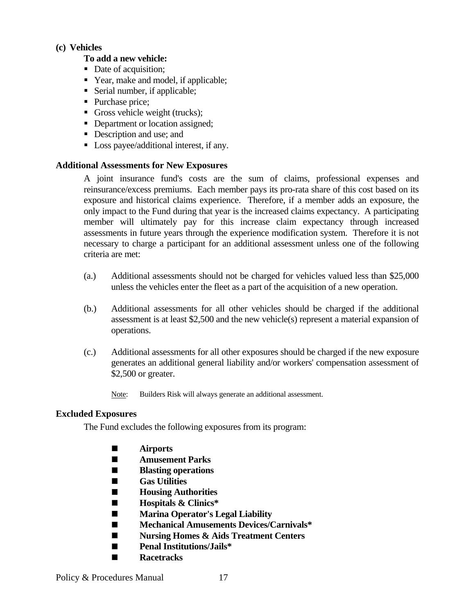### **(c) Vehicles**

# **To add a new vehicle:**

- Date of acquisition;
- Year, make and model, if applicable;
- Serial number, if applicable;
- Purchase price;
- Gross vehicle weight (trucks);
- Department or location assigned;
- Description and use; and
- Loss payee/additional interest, if any.

### **Additional Assessments for New Exposures**

 A joint insurance fund's costs are the sum of claims, professional expenses and reinsurance/excess premiums. Each member pays its pro-rata share of this cost based on its exposure and historical claims experience. Therefore, if a member adds an exposure, the only impact to the Fund during that year is the increased claims expectancy. A participating member will ultimately pay for this increase claim expectancy through increased assessments in future years through the experience modification system. Therefore it is not necessary to charge a participant for an additional assessment unless one of the following criteria are met:

- (a.) Additional assessments should not be charged for vehicles valued less than \$25,000 unless the vehicles enter the fleet as a part of the acquisition of a new operation.
- (b.) Additional assessments for all other vehicles should be charged if the additional assessment is at least \$2,500 and the new vehicle(s) represent a material expansion of operations.
- (c.) Additional assessments for all other exposures should be charged if the new exposure generates an additional general liability and/or workers' compensation assessment of \$2,500 or greater.
	- Note: Builders Risk will always generate an additional assessment.

### **Excluded Exposures**

The Fund excludes the following exposures from its program:

- **Airports**
- **Amusement Parks**
- $\blacksquare$  Blasting operations
- **Gas Utilities**
- **Housing Authorities**
- **Hospitals & Clinics\***
- **Marina Operator's Legal Liability**
- **Mechanical Amusements Devices/Carnivals\***
- **Nursing Homes & Aids Treatment Centers**
- **Penal Institutions/Jails\***
- **Racetracks**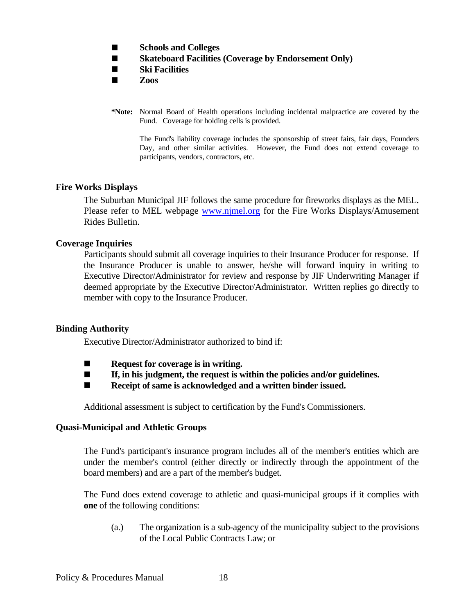- **Schools and Colleges**
- Skateboard Facilities (Coverage by Endorsement Only)
- **Ski Facilities**
- $\blacksquare$  **Zoos**
- **\*Note:** Normal Board of Health operations including incidental malpractice are covered by the Fund. Coverage for holding cells is provided.

 The Fund's liability coverage includes the sponsorship of street fairs, fair days, Founders Day, and other similar activities. However, the Fund does not extend coverage to participants, vendors, contractors, etc.

### **Fire Works Displays**

 The Suburban Municipal JIF follows the same procedure for fireworks displays as the MEL. Please refer to MEL webpage www.njmel.org for the Fire Works Displays/Amusement Rides Bulletin.

### **Coverage Inquiries**

 Participants should submit all coverage inquiries to their Insurance Producer for response. If the Insurance Producer is unable to answer, he/she will forward inquiry in writing to Executive Director/Administrator for review and response by JIF Underwriting Manager if deemed appropriate by the Executive Director/Administrator. Written replies go directly to member with copy to the Insurance Producer.

### **Binding Authority**

Executive Director/Administrator authorized to bind if:

- **EXECUTE:** Request for coverage is in writing.
- If, in his judgment, the request is within the policies and/or guidelines.
- Receipt of same is acknowledged and a written binder issued.

Additional assessment is subject to certification by the Fund's Commissioners.

#### **Quasi-Municipal and Athletic Groups**

 The Fund's participant's insurance program includes all of the member's entities which are under the member's control (either directly or indirectly through the appointment of the board members) and are a part of the member's budget.

 The Fund does extend coverage to athletic and quasi-municipal groups if it complies with **one** of the following conditions:

 (a.) The organization is a sub-agency of the municipality subject to the provisions of the Local Public Contracts Law; or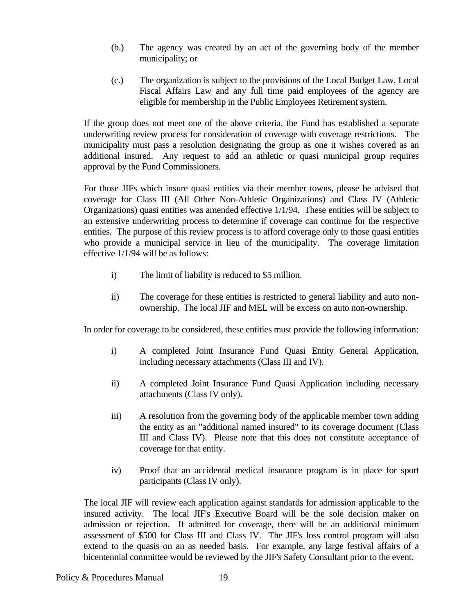- (b.) The agency was created by an act of the governing body of the member municipality; or
- (c.) The organization is subject to the provisions of the Local Budget Law, Local Fiscal Affairs Law and any full time paid employees of the agency are eligible for membership in the Public Employees Retirement system.

 If the group does not meet one of the above criteria, the Fund has established a separate underwriting review process for consideration of coverage with coverage restrictions. The municipality must pass a resolution designating the group as one it wishes covered as an additional insured. Any request to add an athletic or quasi municipal group requires approval by the Fund Commissioners.

 For those JIFs which insure quasi entities via their member towns, please be advised that coverage for Class III (All Other Non-Athletic Organizations) and Class IV (Athletic Organizations) quasi entities was amended effective 1/1/94. These entities will be subject to an extensive underwriting process to determine if coverage can continue for the respective entities. The purpose of this review process is to afford coverage only to those quasi entities who provide a municipal service in lieu of the municipality. The coverage limitation effective 1/1/94 will be as follows:

- i) The limit of liability is reduced to \$5 million.
- ii) The coverage for these entities is restricted to general liability and auto nonownership. The local JIF and MEL will be excess on auto non-ownership.

In order for coverage to be considered, these entities must provide the following information:

- i) A completed Joint Insurance Fund Quasi Entity General Application, including necessary attachments (Class III and IV).
- ii) A completed Joint Insurance Fund Quasi Application including necessary attachments (Class IV only).
- iii) A resolution from the governing body of the applicable member town adding the entity as an "additional named insured" to its coverage document (Class III and Class IV). Please note that this does not constitute acceptance of coverage for that entity.
- iv) Proof that an accidental medical insurance program is in place for sport participants (Class IV only).

 The local JIF will review each application against standards for admission applicable to the insured activity. The local JIF's Executive Board will be the sole decision maker on admission or rejection. If admitted for coverage, there will be an additional minimum assessment of \$500 for Class III and Class IV. The JIF's loss control program will also extend to the quasis on an as needed basis. For example, any large festival affairs of a bicentennial committee would be reviewed by the JIF's Safety Consultant prior to the event.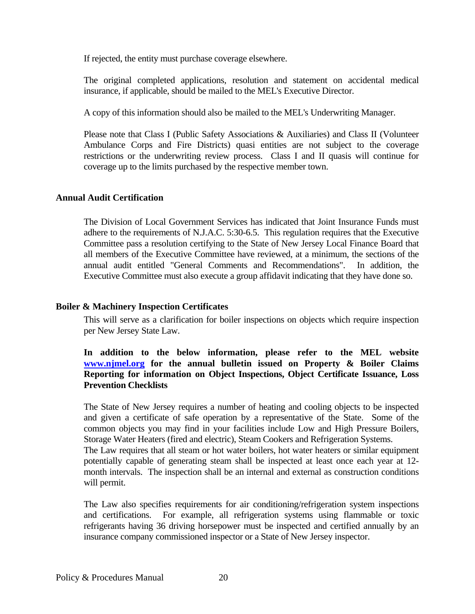If rejected, the entity must purchase coverage elsewhere.

 The original completed applications, resolution and statement on accidental medical insurance, if applicable, should be mailed to the MEL's Executive Director.

A copy of this information should also be mailed to the MEL's Underwriting Manager.

 Please note that Class I (Public Safety Associations & Auxiliaries) and Class II (Volunteer Ambulance Corps and Fire Districts) quasi entities are not subject to the coverage restrictions or the underwriting review process. Class I and II quasis will continue for coverage up to the limits purchased by the respective member town.

### **Annual Audit Certification**

The Division of Local Government Services has indicated that Joint Insurance Funds must adhere to the requirements of N.J.A.C. 5:30-6.5. This regulation requires that the Executive Committee pass a resolution certifying to the State of New Jersey Local Finance Board that all members of the Executive Committee have reviewed, at a minimum, the sections of the annual audit entitled "General Comments and Recommendations". In addition, the Executive Committee must also execute a group affidavit indicating that they have done so.

#### **Boiler & Machinery Inspection Certificates**

This will serve as a clarification for boiler inspections on objects which require inspection per New Jersey State Law.

# **In addition to the below information, please refer to the MEL website www.njmel.org for the annual bulletin issued on Property & Boiler Claims Reporting for information on Object Inspections, Object Certificate Issuance, Loss Prevention Checklists**

The State of New Jersey requires a number of heating and cooling objects to be inspected and given a certificate of safe operation by a representative of the State. Some of the common objects you may find in your facilities include Low and High Pressure Boilers, Storage Water Heaters (fired and electric), Steam Cookers and Refrigeration Systems. The Law requires that all steam or hot water boilers, hot water heaters or similar equipment potentially capable of generating steam shall be inspected at least once each year at 12 month intervals. The inspection shall be an internal and external as construction conditions

The Law also specifies requirements for air conditioning/refrigeration system inspections and certifications. For example, all refrigeration systems using flammable or toxic refrigerants having 36 driving horsepower must be inspected and certified annually by an insurance company commissioned inspector or a State of New Jersey inspector.

will permit.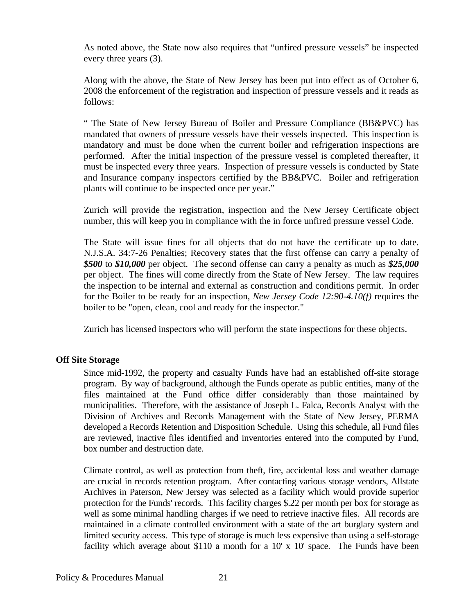As noted above, the State now also requires that "unfired pressure vessels" be inspected every three years (3).

Along with the above, the State of New Jersey has been put into effect as of October 6, 2008 the enforcement of the registration and inspection of pressure vessels and it reads as follows:

" The State of New Jersey Bureau of Boiler and Pressure Compliance (BB&PVC) has mandated that owners of pressure vessels have their vessels inspected. This inspection is mandatory and must be done when the current boiler and refrigeration inspections are performed. After the initial inspection of the pressure vessel is completed thereafter, it must be inspected every three years. Inspection of pressure vessels is conducted by State and Insurance company inspectors certified by the BB&PVC. Boiler and refrigeration plants will continue to be inspected once per year."

Zurich will provide the registration, inspection and the New Jersey Certificate object number, this will keep you in compliance with the in force unfired pressure vessel Code.

The State will issue fines for all objects that do not have the certificate up to date. N.J.S.A. 34:7-26 Penalties; Recovery states that the first offense can carry a penalty of *\$500* to *\$10,000* per object. The second offense can carry a penalty as much as *\$25,000*  per object. The fines will come directly from the State of New Jersey. The law requires the inspection to be internal and external as construction and conditions permit. In order for the Boiler to be ready for an inspection, *New Jersey Code 12:90-4.10(f)* requires the boiler to be "open, clean, cool and ready for the inspector."

Zurich has licensed inspectors who will perform the state inspections for these objects.

# **Off Site Storage**

 Since mid-1992, the property and casualty Funds have had an established off-site storage program. By way of background, although the Funds operate as public entities, many of the files maintained at the Fund office differ considerably than those maintained by municipalities. Therefore, with the assistance of Joseph L. Falca, Records Analyst with the Division of Archives and Records Management with the State of New Jersey, PERMA developed a Records Retention and Disposition Schedule. Using this schedule, all Fund files are reviewed, inactive files identified and inventories entered into the computed by Fund, box number and destruction date.

 Climate control, as well as protection from theft, fire, accidental loss and weather damage are crucial in records retention program. After contacting various storage vendors, Allstate Archives in Paterson, New Jersey was selected as a facility which would provide superior protection for the Funds' records. This facility charges \$.22 per month per box for storage as well as some minimal handling charges if we need to retrieve inactive files. All records are maintained in a climate controlled environment with a state of the art burglary system and limited security access. This type of storage is much less expensive than using a self-storage facility which average about \$110 a month for a 10' x 10' space. The Funds have been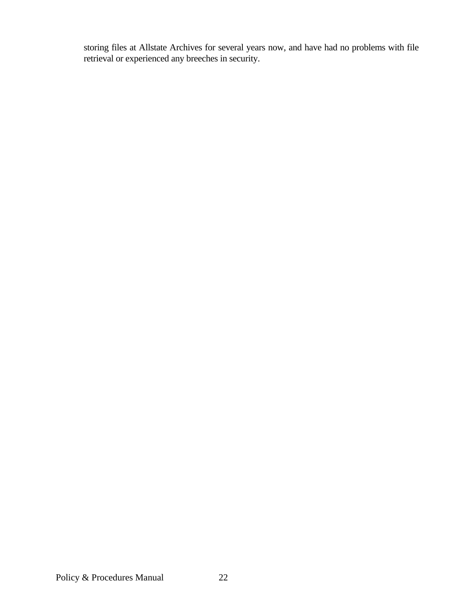storing files at Allstate Archives for several years now, and have had no problems with file retrieval or experienced any breeches in security.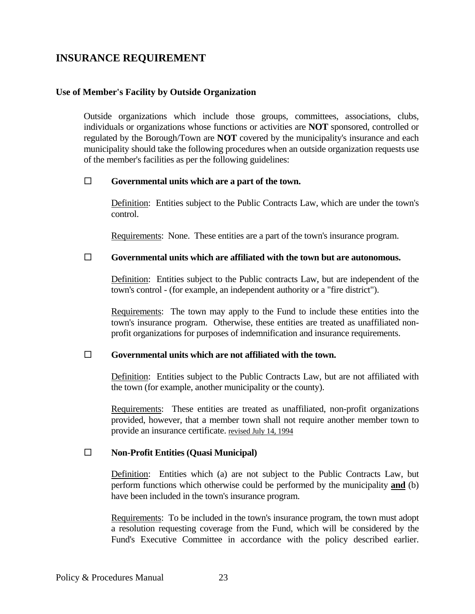# **INSURANCE REQUIREMENT**

#### **Use of Member's Facility by Outside Organization**

 Outside organizations which include those groups, committees, associations, clubs, individuals or organizations whose functions or activities are **NOT** sponsored, controlled or regulated by the Borough/Town are **NOT** covered by the municipality's insurance and each municipality should take the following procedures when an outside organization requests use of the member's facilities as per the following guidelines:

#### **Governmental units which are a part of the town.**

 Definition: Entities subject to the Public Contracts Law, which are under the town's control.

Requirements: None. These entities are a part of the town's insurance program.

### **Governmental units which are affiliated with the town but are autonomous.**

 Definition: Entities subject to the Public contracts Law, but are independent of the town's control - (for example, an independent authority or a "fire district").

 Requirements: The town may apply to the Fund to include these entities into the town's insurance program. Otherwise, these entities are treated as unaffiliated nonprofit organizations for purposes of indemnification and insurance requirements.

#### **Governmental units which are not affiliated with the town.**

 Definition: Entities subject to the Public Contracts Law, but are not affiliated with the town (for example, another municipality or the county).

 Requirements: These entities are treated as unaffiliated, non-profit organizations provided, however, that a member town shall not require another member town to provide an insurance certificate. revised July 14, 1994

#### **Non-Profit Entities (Quasi Municipal)**

 Definition: Entities which (a) are not subject to the Public Contracts Law, but perform functions which otherwise could be performed by the municipality **and** (b) have been included in the town's insurance program.

 Requirements: To be included in the town's insurance program, the town must adopt a resolution requesting coverage from the Fund, which will be considered by the Fund's Executive Committee in accordance with the policy described earlier.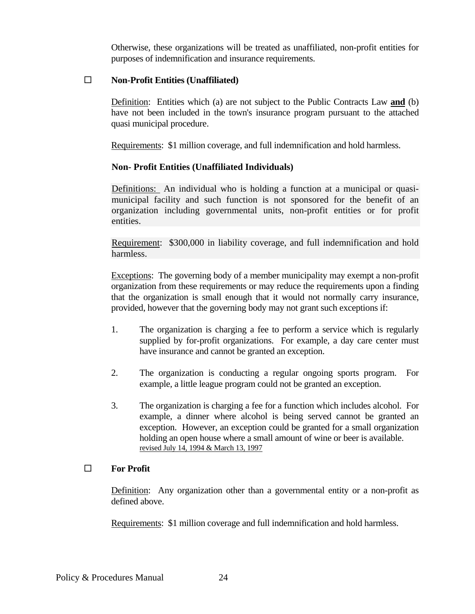Otherwise, these organizations will be treated as unaffiliated, non-profit entities for purposes of indemnification and insurance requirements.

### **Non-Profit Entities (Unaffiliated)**

 Definition: Entities which (a) are not subject to the Public Contracts Law **and** (b) have not been included in the town's insurance program pursuant to the attached quasi municipal procedure.

Requirements: \$1 million coverage, and full indemnification and hold harmless.

# **Non- Profit Entities (Unaffiliated Individuals)**

Definitions: An individual who is holding a function at a municipal or quasimunicipal facility and such function is not sponsored for the benefit of an organization including governmental units, non-profit entities or for profit entities.

Requirement: \$300,000 in liability coverage, and full indemnification and hold harmless.

 Exceptions: The governing body of a member municipality may exempt a non-profit organization from these requirements or may reduce the requirements upon a finding that the organization is small enough that it would not normally carry insurance, provided, however that the governing body may not grant such exceptions if:

- 1. The organization is charging a fee to perform a service which is regularly supplied by for-profit organizations. For example, a day care center must have insurance and cannot be granted an exception.
- 2. The organization is conducting a regular ongoing sports program. For example, a little league program could not be granted an exception.
- 3. The organization is charging a fee for a function which includes alcohol. For example, a dinner where alcohol is being served cannot be granted an exception. However, an exception could be granted for a small organization holding an open house where a small amount of wine or beer is available. revised July 14, 1994 & March 13, 1997

### **For Profit**

 Definition: Any organization other than a governmental entity or a non-profit as defined above.

Requirements: \$1 million coverage and full indemnification and hold harmless.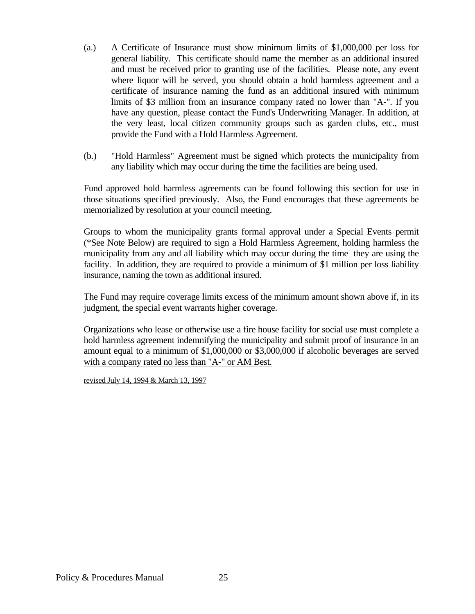- (a.) A Certificate of Insurance must show minimum limits of \$1,000,000 per loss for general liability. This certificate should name the member as an additional insured and must be received prior to granting use of the facilities. Please note, any event where liquor will be served, you should obtain a hold harmless agreement and a certificate of insurance naming the fund as an additional insured with minimum limits of \$3 million from an insurance company rated no lower than "A-". If you have any question, please contact the Fund's Underwriting Manager. In addition, at the very least, local citizen community groups such as garden clubs, etc., must provide the Fund with a Hold Harmless Agreement.
- (b.) "Hold Harmless" Agreement must be signed which protects the municipality from any liability which may occur during the time the facilities are being used.

 Fund approved hold harmless agreements can be found following this section for use in those situations specified previously. Also, the Fund encourages that these agreements be memorialized by resolution at your council meeting.

 Groups to whom the municipality grants formal approval under a Special Events permit (\*See Note Below) are required to sign a Hold Harmless Agreement, holding harmless the municipality from any and all liability which may occur during the time they are using the facility. In addition, they are required to provide a minimum of \$1 million per loss liability insurance, naming the town as additional insured.

 The Fund may require coverage limits excess of the minimum amount shown above if, in its judgment, the special event warrants higher coverage.

 Organizations who lease or otherwise use a fire house facility for social use must complete a hold harmless agreement indemnifying the municipality and submit proof of insurance in an amount equal to a minimum of \$1,000,000 or \$3,000,000 if alcoholic beverages are served with a company rated no less than "A-" or AM Best.

revised July 14, 1994 & March 13, 1997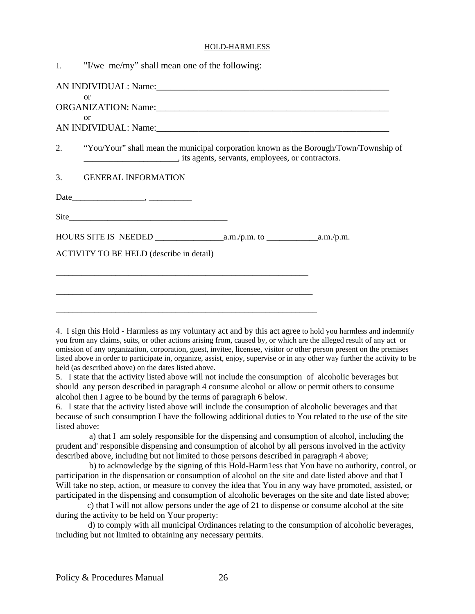#### HOLD-HARMLESS

| $\mathbf{1}$ . | "I/we me/my" shall mean one of the following:                                                                                                                                                                                  |  |
|----------------|--------------------------------------------------------------------------------------------------------------------------------------------------------------------------------------------------------------------------------|--|
|                | AN INDIVIDUAL: Name: 1988 and 2008 and 2008 and 2008 and 2008 and 2008 and 2008 and 2008 and 2008 and 2008 and 2008 and 2008 and 2008 and 2008 and 2008 and 2008 and 2008 and 2008 and 2008 and 2008 and 2008 and 2008 and 200 |  |
|                | or                                                                                                                                                                                                                             |  |
|                | or                                                                                                                                                                                                                             |  |
| 2.             | "You/Your" shall mean the municipal corporation known as the Borough/Town/Township of                                                                                                                                          |  |
| 3.             | <b>GENERAL INFORMATION</b>                                                                                                                                                                                                     |  |
|                |                                                                                                                                                                                                                                |  |
|                |                                                                                                                                                                                                                                |  |
|                |                                                                                                                                                                                                                                |  |
|                | ACTIVITY TO BE HELD (describe in detail)                                                                                                                                                                                       |  |
|                |                                                                                                                                                                                                                                |  |
|                |                                                                                                                                                                                                                                |  |
|                |                                                                                                                                                                                                                                |  |

4. I sign this Hold - Harmless as my voluntary act and by this act agree to hold you harmless and indemnify you from any claims, suits, or other actions arising from, caused by, or which are the alleged result of any act or omission of any organization, corporation, guest, invitee, licensee, visitor or other person present on the premises listed above in order to participate in, organize, assist, enjoy, supervise or in any other way further the activity to be held (as described above) on the dates listed above.

5. I state that the activity listed above will not include the consumption of alcoholic beverages but should any person described in paragraph 4 consume alcohol or allow or permit others to consume alcohol then I agree to be bound by the terms of paragraph 6 below.

6. I state that the activity listed above will include the consumption of alcoholic beverages and that because of such consumption I have the following additional duties to You related to the use of the site listed above:

 a) that I am solely responsible for the dispensing and consumption of alcohol, including the prudent and' responsible dispensing and consumption of alcohol by all persons involved in the activity described above, including but not limited to those persons described in paragraph 4 above;

 b) to acknowledge by the signing of this Hold-Harm1ess that You have no authority, control, or participation in the dispensation or consumption of alcohol on the site and date listed above and that I Will take no step, action, or measure to convey the idea that You in any way have promoted, assisted, or participated in the dispensing and consumption of alcoholic beverages on the site and date listed above;

 c) that I will not allow persons under the age of 21 to dispense or consume alcohol at the site during the activity to be held on Your property:

 d) to comply with all municipal Ordinances relating to the consumption of alcoholic beverages, including but not limited to obtaining any necessary permits.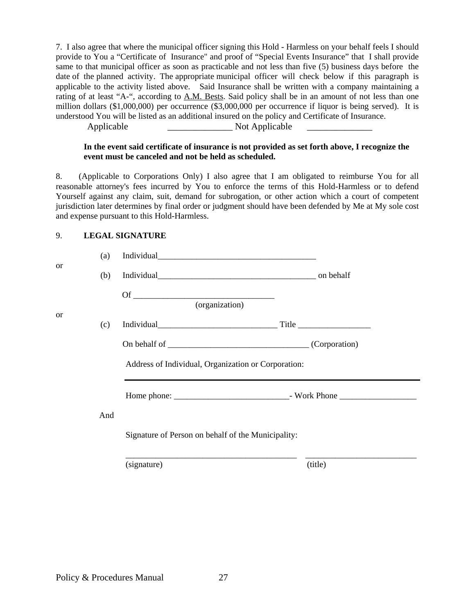7. I also agree that where the municipal officer signing this Hold - Harmless on your behalf feels I should provide to You a "Certificate of Insurance" and proof of "Special Events Insurance" that I shall provide same to that municipal officer as soon as practicable and not less than five (5) business days before the date of the planned activity. The appropriate municipal officer will check below if this paragraph is applicable to the activity listed above. Said Insurance shall be written with a company maintaining a rating of at least "A-", according to A.M. Bests. Said policy shall be in an amount of not less than one million dollars (\$1,000,000) per occurrence (\$3,000,000 per occurrence if liquor is being served). It is understood You will be listed as an additional insured on the policy and Certificate of Insurance.

Applicable \_\_\_\_\_\_\_\_\_\_\_\_\_\_ Not Applicable \_\_\_\_\_\_\_\_\_\_\_\_\_\_

#### **In the event said certificate of insurance is not provided as set forth above, I recognize the event must be canceled and not be held as scheduled.**

8. (Applicable to Corporations Only) I also agree that I am obligated to reimburse You for all reasonable attorney's fees incurred by You to enforce the terms of this Hold-Harmless or to defend Yourself against any claim, suit, demand for subrogation, or other action which a court of competent jurisdiction later determines by final order or judgment should have been defended by Me at My sole cost and expense pursuant to this Hold-Harmless.

#### 9. **LEGAL SIGNATURE**

|    | (a) |                                                                       |         |
|----|-----|-----------------------------------------------------------------------|---------|
| or | (b) |                                                                       |         |
|    |     | Of $\overline{\phantom{a} \phantom{a} \phantom{a}}$<br>(organization) |         |
| or | (c) |                                                                       |         |
|    |     |                                                                       |         |
|    |     | Address of Individual, Organization or Corporation:                   |         |
|    |     |                                                                       |         |
|    | And | Signature of Person on behalf of the Municipality:                    |         |
|    |     | (signature)                                                           | (title) |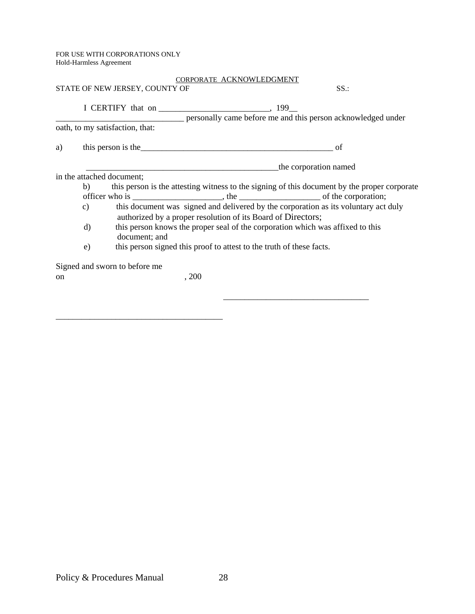FOR USE WITH CORPORATIONS ONLY Hold-Harmless Agreement

\_\_\_\_\_\_\_\_\_\_\_\_\_\_\_\_\_\_\_\_\_\_\_\_\_\_\_\_\_\_\_\_\_\_\_\_\_\_\_

|               |                                 | STATE OF NEW JERSEY, COUNTY OF | CORPORATE ACKNOWLEDGMENT |                                                                                                                                                                                                                                      | SS:                                                                                          |
|---------------|---------------------------------|--------------------------------|--------------------------|--------------------------------------------------------------------------------------------------------------------------------------------------------------------------------------------------------------------------------------|----------------------------------------------------------------------------------------------|
|               |                                 |                                |                          |                                                                                                                                                                                                                                      | personally came before me and this person acknowledged under                                 |
|               | oath, to my satisfaction, that: |                                |                          |                                                                                                                                                                                                                                      |                                                                                              |
| a)            |                                 |                                |                          | this person is the <u>example and the contract of the set of the set of the set of the set of the set of the set of the set of the set of the set of the set of the set of the set of the set of the set of the set of the set o</u> | of                                                                                           |
|               |                                 |                                |                          |                                                                                                                                                                                                                                      | the corporation named                                                                        |
|               | in the attached document;       |                                |                          |                                                                                                                                                                                                                                      |                                                                                              |
|               | b)                              |                                |                          |                                                                                                                                                                                                                                      | this person is the attesting witness to the signing of this document by the proper corporate |
|               |                                 |                                |                          |                                                                                                                                                                                                                                      |                                                                                              |
|               | c)                              |                                |                          | authorized by a proper resolution of its Board of Directors;                                                                                                                                                                         | this document was signed and delivered by the corporation as its voluntary act duly          |
|               | d)                              | document; and                  |                          |                                                                                                                                                                                                                                      | this person knows the proper seal of the corporation which was affixed to this               |
|               | e)                              |                                |                          | this person signed this proof to attest to the truth of these facts.                                                                                                                                                                 |                                                                                              |
|               |                                 | Signed and sworn to before me  |                          |                                                                                                                                                                                                                                      |                                                                                              |
| <sub>on</sub> |                                 |                                | , 200                    |                                                                                                                                                                                                                                      |                                                                                              |
|               |                                 |                                |                          |                                                                                                                                                                                                                                      |                                                                                              |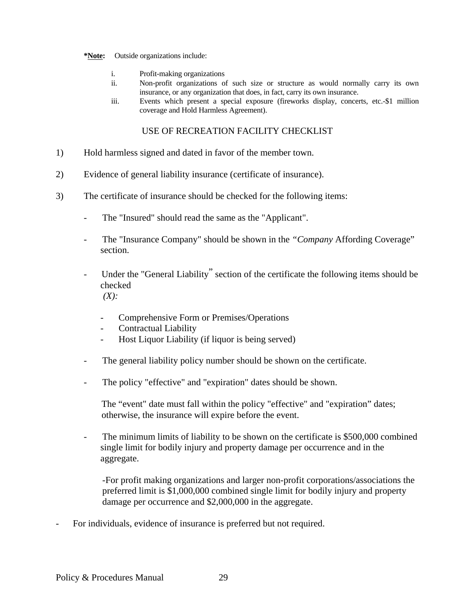#### **\*Note:** Outside organizations include:

- i. Profit-making organizations
- ii. Non-profit organizations of such size or structure as would normally carry its own insurance, or any organization that does, in fact, carry its own insurance.
- iii. Events which present a special exposure (fireworks display, concerts, etc.-\$1 million coverage and Hold Harmless Agreement).

### USE OF RECREATION FACILITY CHECKLIST

- 1) Hold harmless signed and dated in favor of the member town.
- 2) Evidence of general liability insurance (certificate of insurance).
- 3) The certificate of insurance should be checked for the following items:
	- The "Insured" should read the same as the "Applicant".
	- The "Insurance Company" should be shown in the *"Company* Affording Coverage" section.
	- Under the "General Liability" section of the certificate the following items should be checked  $(X)$ :
		- Comprehensive Form or Premises/Operations
		- Contractual Liability
		- Host Liquor Liability (if liquor is being served)
	- The general liability policy number should be shown on the certificate.
	- The policy "effective" and "expiration" dates should be shown.

The "event" date must fall within the policy "effective" and "expiration" dates; otherwise, the insurance will expire before the event.

- The minimum limits of liability to be shown on the certificate is \$500,000 combined single limit for bodily injury and property damage per occurrence and in the aggregate.

-For profit making organizations and larger non-profit corporations/associations the preferred limit is \$1,000,000 combined single limit for bodily injury and property damage per occurrence and \$2,000,000 in the aggregate.

For individuals, evidence of insurance is preferred but not required.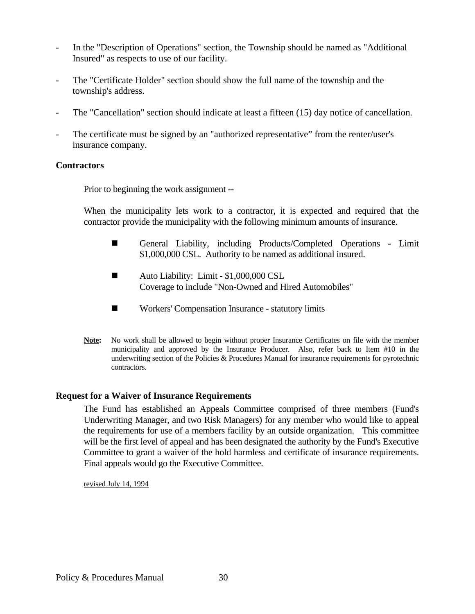- In the "Description of Operations" section, the Township should be named as "Additional" Insured" as respects to use of our facility.
- The "Certificate Holder" section should show the full name of the township and the township's address.
- The "Cancellation" section should indicate at least a fifteen (15) day notice of cancellation.
- The certificate must be signed by an "authorized representative" from the renter/user's insurance company.

# **Contractors**

Prior to beginning the work assignment --

 When the municipality lets work to a contractor, it is expected and required that the contractor provide the municipality with the following minimum amounts of insurance.

- General Liability, including Products/Completed Operations Limit \$1,000,000 CSL. Authority to be named as additional insured.
- Auto Liability: Limit \$1,000,000 CSL Coverage to include "Non-Owned and Hired Automobiles"
- Workers' Compensation Insurance statutory limits
- **Note:** No work shall be allowed to begin without proper Insurance Certificates on file with the member municipality and approved by the Insurance Producer. Also, refer back to Item #10 in the underwriting section of the Policies & Procedures Manual for insurance requirements for pyrotechnic contractors.

# **Request for a Waiver of Insurance Requirements**

 The Fund has established an Appeals Committee comprised of three members (Fund's Underwriting Manager, and two Risk Managers) for any member who would like to appeal the requirements for use of a members facility by an outside organization. This committee will be the first level of appeal and has been designated the authority by the Fund's Executive Committee to grant a waiver of the hold harmless and certificate of insurance requirements. Final appeals would go the Executive Committee.

revised July 14, 1994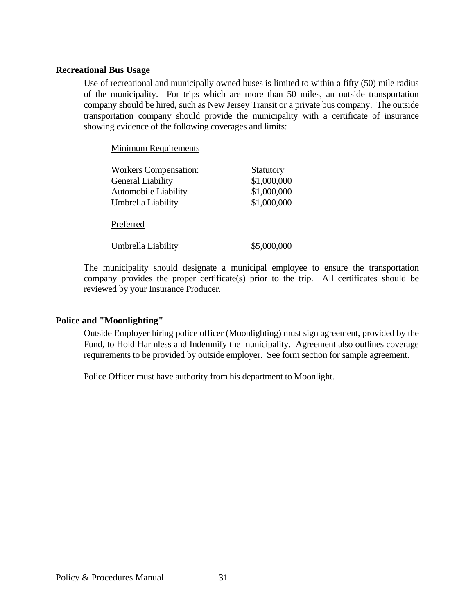### **Recreational Bus Usage**

 Use of recreational and municipally owned buses is limited to within a fifty (50) mile radius of the municipality. For trips which are more than 50 miles, an outside transportation company should be hired, such as New Jersey Transit or a private bus company. The outside transportation company should provide the municipality with a certificate of insurance showing evidence of the following coverages and limits:

Minimum Requirements

| <b>Workers Compensation:</b> | <b>Statutory</b> |
|------------------------------|------------------|
| General Liability            | \$1,000,000      |
| <b>Automobile Liability</b>  | \$1,000,000      |
| Umbrella Liability           | \$1,000,000      |
| Preferred                    |                  |
| Umbrella Liability           | \$5,000,000      |

 The municipality should designate a municipal employee to ensure the transportation company provides the proper certificate(s) prior to the trip. All certificates should be reviewed by your Insurance Producer.

### **Police and "Moonlighting"**

 Outside Employer hiring police officer (Moonlighting) must sign agreement, provided by the Fund, to Hold Harmless and Indemnify the municipality. Agreement also outlines coverage requirements to be provided by outside employer. See form section for sample agreement.

Police Officer must have authority from his department to Moonlight.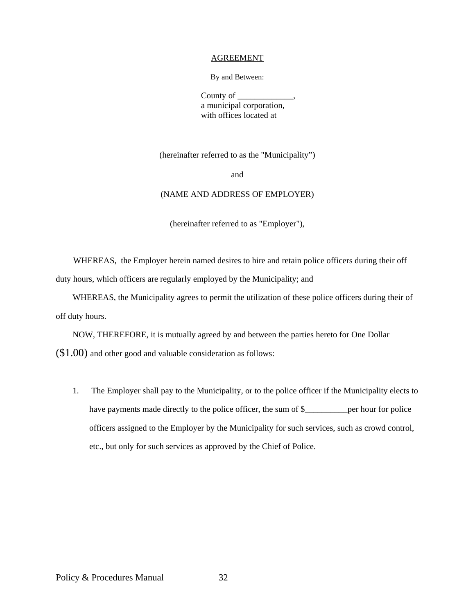#### AGREEMENT

By and Between:

County of a municipal corporation, with offices located at

(hereinafter referred to as the "Municipality")

and

#### (NAME AND ADDRESS OF EMPLOYER)

(hereinafter referred to as "Employer"),

WHEREAS, the Employer herein named desires to hire and retain police officers during their off duty hours, which officers are regularly employed by the Municipality; and

WHEREAS, the Municipality agrees to permit the utilization of these police officers during their of off duty hours.

NOW, THEREFORE, it is mutually agreed by and between the parties hereto for One Dollar (\$1.00) and other good and valuable consideration as follows:

1. The Employer shall pay to the Municipality, or to the police officer if the Municipality elects to have payments made directly to the police officer, the sum of \$\_\_\_\_\_\_\_\_\_\_\_\_ per hour for police officers assigned to the Employer by the Municipality for such services, such as crowd control, etc., but only for such services as approved by the Chief of Police.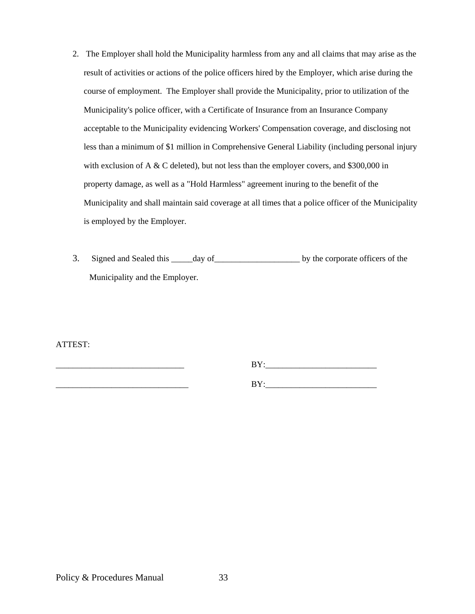- 2. The Employer shall hold the Municipality harmless from any and all claims that may arise as the result of activities or actions of the police officers hired by the Employer, which arise during the course of employment. The Employer shall provide the Municipality, prior to utilization of the Municipality's police officer, with a Certificate of Insurance from an Insurance Company acceptable to the Municipality evidencing Workers' Compensation coverage, and disclosing not less than a minimum of \$1 million in Comprehensive General Liability (including personal injury with exclusion of A  $&$  C deleted), but not less than the employer covers, and \$300,000 in property damage, as well as a "Hold Harmless" agreement inuring to the benefit of the Municipality and shall maintain said coverage at all times that a police officer of the Municipality is employed by the Employer.
- 3. Signed and Sealed this \_\_\_\_\_day of\_\_\_\_\_\_\_\_\_\_\_\_\_\_\_\_\_\_\_\_ by the corporate officers of the Municipality and the Employer.

ATTEST:

| _ _ _<br>$\sim$<br>-- |
|-----------------------|
| ___                   |

 $BY:$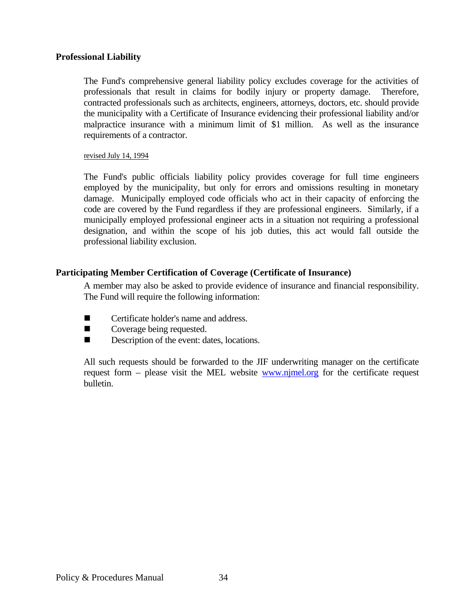### **Professional Liability**

 The Fund's comprehensive general liability policy excludes coverage for the activities of professionals that result in claims for bodily injury or property damage. Therefore, contracted professionals such as architects, engineers, attorneys, doctors, etc. should provide the municipality with a Certificate of Insurance evidencing their professional liability and/or malpractice insurance with a minimum limit of \$1 million. As well as the insurance requirements of a contractor.

#### revised July 14, 1994

 The Fund's public officials liability policy provides coverage for full time engineers employed by the municipality, but only for errors and omissions resulting in monetary damage. Municipally employed code officials who act in their capacity of enforcing the code are covered by the Fund regardless if they are professional engineers. Similarly, if a municipally employed professional engineer acts in a situation not requiring a professional designation, and within the scope of his job duties, this act would fall outside the professional liability exclusion.

# **Participating Member Certification of Coverage (Certificate of Insurance)**

 A member may also be asked to provide evidence of insurance and financial responsibility. The Fund will require the following information:

- Certificate holder's name and address.
- Coverage being requested.
- Description of the event: dates, locations.

 All such requests should be forwarded to the JIF underwriting manager on the certificate request form – please visit the MEL website www.njmel.org for the certificate request bulletin.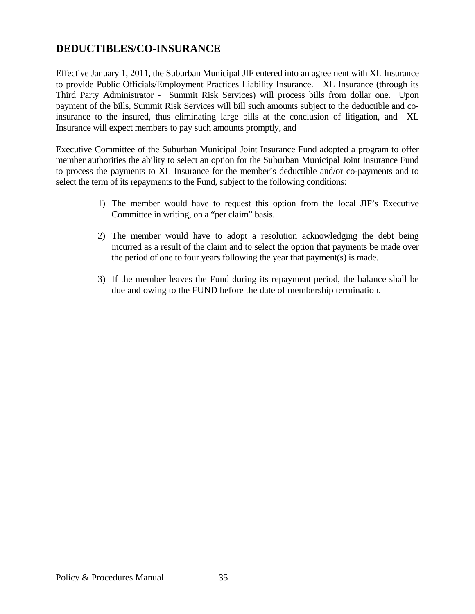# **DEDUCTIBLES/CO-INSURANCE**

Effective January 1, 2011, the Suburban Municipal JIF entered into an agreement with XL Insurance to provide Public Officials/Employment Practices Liability Insurance. XL Insurance (through its Third Party Administrator - Summit Risk Services) will process bills from dollar one. Upon payment of the bills, Summit Risk Services will bill such amounts subject to the deductible and coinsurance to the insured, thus eliminating large bills at the conclusion of litigation, and XL Insurance will expect members to pay such amounts promptly, and

Executive Committee of the Suburban Municipal Joint Insurance Fund adopted a program to offer member authorities the ability to select an option for the Suburban Municipal Joint Insurance Fund to process the payments to XL Insurance for the member's deductible and/or co-payments and to select the term of its repayments to the Fund, subject to the following conditions:

- 1) The member would have to request this option from the local JIF's Executive Committee in writing, on a "per claim" basis.
- 2) The member would have to adopt a resolution acknowledging the debt being incurred as a result of the claim and to select the option that payments be made over the period of one to four years following the year that payment(s) is made.
- 3) If the member leaves the Fund during its repayment period, the balance shall be due and owing to the FUND before the date of membership termination.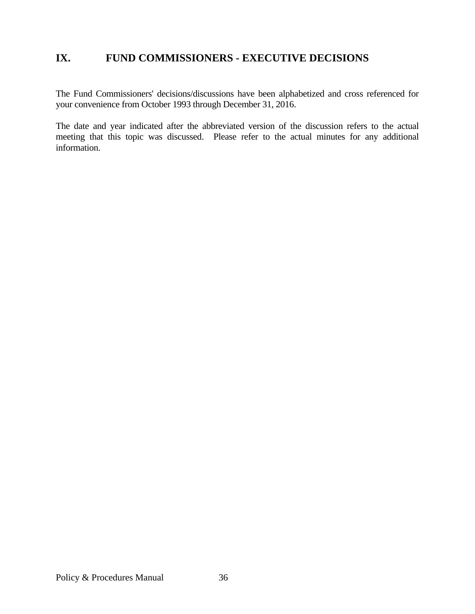# **IX. FUND COMMISSIONERS - EXECUTIVE DECISIONS**

The Fund Commissioners' decisions/discussions have been alphabetized and cross referenced for your convenience from October 1993 through December 31, 2016.

The date and year indicated after the abbreviated version of the discussion refers to the actual meeting that this topic was discussed. Please refer to the actual minutes for any additional information.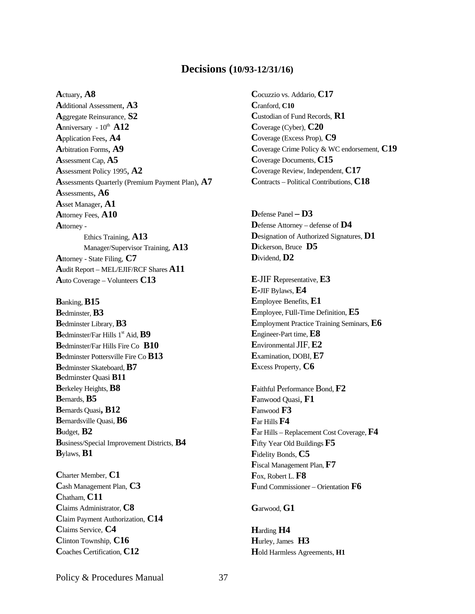### **Decisions (10/93-12/31/16)**

**A**ctuary, **A8 A**dditional Assessment, **A3 A**ggregate Reinsurance, **S2 A**nniversary  $-10^{th}$  **A12 A**pplication Fees, **A4 A**rbitration Forms, **A9 A**ssessment Cap, **A5 A**ssessment Policy 1995, **A2 A**ssessments Quarterly (Premium Payment Plan), **A7 A**ssessments, **A6 A**sset Manager, **A1 A**ttorney Fees, **A10 A**ttorney - Ethics Training, **A13**  Manager/Supervisor Training, **A13 A**ttorney - State Filing, **C7 A**udit Report – MEL/EJIF/RCF Shares **A11 A**uto Coverage – Volunteers **C13**

**B**anking, **B15 B**edminster, **B3 B**edminster Library, **B3 B**edminster/Far Hills 1<sup>st</sup> Aid, **B9 B**edminster/Far Hills Fire Co **B10 B**edminster Pottersville Fire Co **B13 B**edminster Skateboard, **B7 B**edminster Quasi **B11 B**erkeley Heights, **B8 B**ernards, **B5 B**ernards Quasi**, B12 B**ernardsville Quasi, **B6 B**udget, **B2 B**usiness/Special Improvement Districts, **B4 B**ylaws, **B1** 

**C**harter Member, **C1 C**ash Management Plan, **C3 C**hatham, **C11 C**laims Administrator, **C8 C**laim Payment Authorization, **C14 C**laims Service, **C4 C**linton Township, **C16 C**oaches Certification, **C12** 

**C**ocuzzio vs. Addario, **C17 C**ranford, **C10 C**ustodian of Fund Records, **R1 C**overage (Cyber), **C20 C**overage (Excess Prop), **C9 C**overage Crime Policy & WC endorsement, **C19 C**overage Documents, **C15 C**overage Review, Independent, **C17 C**ontracts – Political Contributions, **C18** 

**D**efense Panel **– D3 D**efense Attorney – defense of **D4 D**esignation of Authorized Signatures, **D1 D**ickerson, Bruce **D5 D**ividend, **D2** 

**E**-JIF Representative, **E3 E-**JIF Bylaws, **E4 E**mployee Benefits, **E1 E**mployee, Full-Time Definition, **E5 E**mployment Practice Training Seminars, **E6 E**ngineer-Part time, **E8 E**nvironmental JIF, **E2 E**xamination, DOBI, **E7 E**xcess Property, **C6** 

**F**aithful Performance Bond, **F2 F**anwood Quasi, **F1 F**anwood **F3 F**ar Hills **F4 F**ar Hills – Replacement Cost Coverage, **F4 F**ifty Year Old Buildings **F5 F**idelity Bonds, **C5 F**iscal Management Plan, **F7 F**ox, Robert L. **F8 F**und Commissioner – Orientation **F6** 

**G**arwood, **G1** 

**H**arding **H4 H**urley, James **H3 H**old Harmless Agreements, **H1**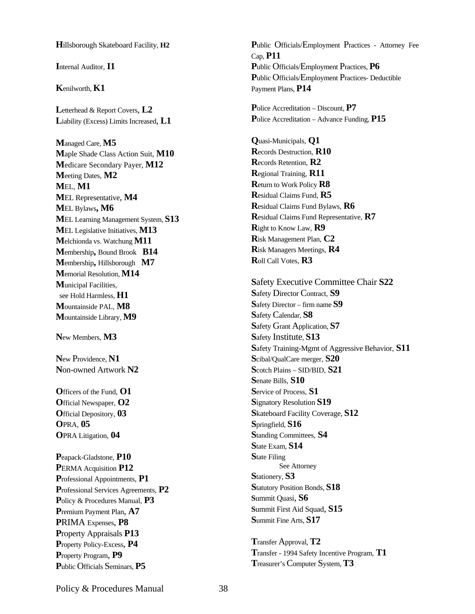**H**illsborough Skateboard Facility, **H2** 

**I**nternal Auditor, **I1**

#### **K**enilworth, **K1**

**L**etterhead & Report Covers, **L2 L**iability (Excess) Limits Increased, **L1** 

**M**anaged Care, **M5 M**aple Shade Class Action Suit, **M10 M**edicare Secondary Payer, **M12 M**eeting Dates, **M2 M**EL, **M1 M**EL Representative, **M4 M**EL Bylaws**, M6 M**EL Learning Management System, **S13 M**EL Legislative Initiatives, **M13 M**elchionda vs. Watchung **M11 M**embership**,** Bound Brook **B14 M**embership**,** Hillsborough **M7 M**emorial Resolution, **M14 M**unicipal Facilities, see Hold Harmless, **H1 M**ountainside PAL, **M8 M**ountainside Library, **M9** 

**N**ew Members, **M3** 

**N**ew Providence, **N1 N**on-owned Artwork **N2**

**O**fficers of the Fund, **O1 O**fficial Newspaper, **O2 O**fficial Depository, **03 O**PRA, **05 O**PRA Litigation, **04** 

**P**eapack-Gladstone, **P10 P**ERMA Acquisition **P12 P**rofessional Appointments, **P1 P**rofessional Services Agreements, **P2 P**olicy & Procedures Manual, **P3 P**remium Payment Plan, **A7 P**RIMA Expenses, **P8 P**roperty Appraisals **P13 P**roperty Policy-Excess, **P4 P**roperty Program, **P9 P**ublic Officials Seminars, **P5** 

**P**ublic Officials/Employment Practices - Attorney Fee Cap, **P11 P**ublic Officials/Employment Practices, **P6 P**ublic Officials/Employment Practices- Deductible Payment Plans, **P14** 

**P**olice Accreditation – Discount, **P7 P**olice Accreditation – Advance Funding, **P15** 

**Q**uasi-Municipals, **Q1 R**ecords Destruction, **R10 R**ecords Retention, **R2 R**egional Training, **R11 R**eturn to Work Policy **R8 R**esidual Claims Fund, **R5 R**esidual Claims Fund Bylaws, **R6 R**esidual Claims Fund Representative, **R7 R**ight to Know Law, **R9 R**isk Management Plan, **C2 R**isk Managers Meetings, **R4 R**oll Call Votes, **R3** 

**S**afety Executive Committee Chair **S22 S**afety Director Contract, **S9 S**afety Director – firm name **S9 S**afety Calendar, **S8 S**afety Grant Application, **S7 S**afety Institute, **S13 S**afety Training-Mgmt of Aggressive Behavior, **S11 S**cibal/QualCare merger, **S20 S**cotch Plains – SID/BID, **S21 S**enate Bills, **S10 S**ervice of Process, **S1 S**ignatory Resolution **S19 S**kateboard Facility Coverage, **S12 S**pringfield, **S16 S**tanding Committees, **S4 S**tate Exam, **S14 S**tate Filing See Attorney **S**tationery, **S3 S**tatutory Position Bonds, **S18 S**ummit Quasi, **S6 S**ummit First Aid Squad, **S15 S**ummit Fine Arts, **S17** 

**T**ransfer Approval, **T2 T**ransfer - 1994 Safety Incentive Program, **T1 T**reasurer's Computer System, **T3**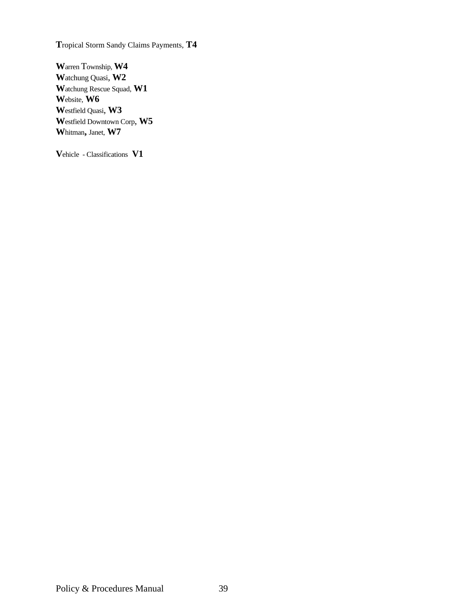**T**ropical Storm Sandy Claims Payments, **T4** 

**W**arren Township, **W4 W**atchung Quasi, **W2 W**atchung Rescue Squad, **W1 W**ebsite, **W6 W**estfield Quasi, **W3 W**estfield Downtown Corp, **W5 W**hitman**,** Janet, **W7** 

**V**ehicle - Classifications **V1**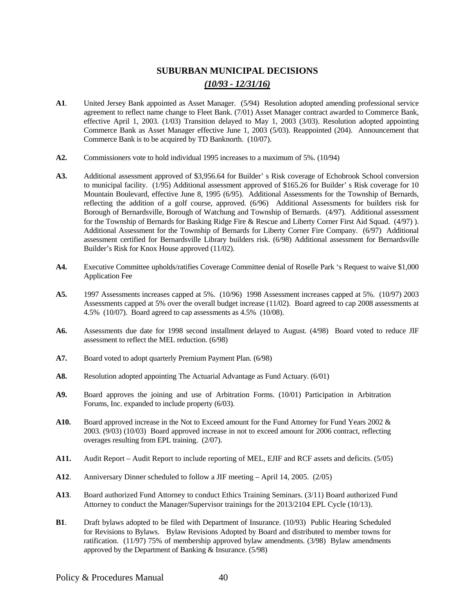# **SUBURBAN MUNICIPAL DECISIONS**  *(10/93 - 12/31/16)*

- **A1**. United Jersey Bank appointed as Asset Manager. (5/94) Resolution adopted amending professional service agreement to reflect name change to Fleet Bank. (7/01) Asset Manager contract awarded to Commerce Bank, effective April 1, 2003. (1/03) Transition delayed to May 1, 2003 (3/03). Resolution adopted appointing Commerce Bank as Asset Manager effective June 1, 2003 (5/03). Reappointed (204). Announcement that Commerce Bank is to be acquired by TD Banknorth. (10/07).
- **A2.** Commissioners vote to hold individual 1995 increases to a maximum of 5%. (10/94)
- **A3.** Additional assessment approved of \$3,956.64 for Builder' s Risk coverage of Echobrook School conversion to municipal facility. (1/95) Additional assessment approved of \$165.26 for Builder' s Risk coverage for 10 Mountain Boulevard, effective June 8, 1995 (6/95). Additional Assessments for the Township of Bernards, reflecting the addition of a golf course, approved. (6/96) Additional Assessments for builders risk for Borough of Bernardsville, Borough of Watchung and Township of Bernards. (4/97). Additional assessment for the Township of Bernards for Basking Ridge Fire & Rescue and Liberty Corner First Aid Squad. (4/97) ). Additional Assessment for the Township of Bernards for Liberty Corner Fire Company. (6/97) Additional assessment certified for Bernardsville Library builders risk. (6/98) Additional assessment for Bernardsville Builder's Risk for Knox House approved (11/02).
- **A4.** Executive Committee upholds/ratifies Coverage Committee denial of Roselle Park 's Request to waive \$1,000 Application Fee
- **A5.** 1997 Assessments increases capped at 5%. (10/96) 1998 Assessment increases capped at 5%. (10/97) 2003 Assessments capped at 5% over the overall budget increase (11/02). Board agreed to cap 2008 assessments at 4.5% (10/07). Board agreed to cap assessments as 4.5% (10/08).
- **A6.** Assessments due date for 1998 second installment delayed to August. (4/98) Board voted to reduce JIF assessment to reflect the MEL reduction. (6/98)
- **A7.** Board voted to adopt quarterly Premium Payment Plan. (6/98)
- **A8.** Resolution adopted appointing The Actuarial Advantage as Fund Actuary. (6/01)
- **A9.** Board approves the joining and use of Arbitration Forms. (10/01) Participation in Arbitration Forums, Inc. expanded to include property (6/03).
- **A10.** Board approved increase in the Not to Exceed amount for the Fund Attorney for Fund Years 2002 & 2003. (9/03) (10/03) Board approved increase in not to exceed amount for 2006 contract, reflecting overages resulting from EPL training. (2/07).
- **A11.** Audit Report Audit Report to include reporting of MEL, EJIF and RCF assets and deficits. (5/05)
- **A12**. Anniversary Dinner scheduled to follow a JIF meeting April 14, 2005. (2/05)
- **A13**. Board authorized Fund Attorney to conduct Ethics Training Seminars. (3/11) Board authorized Fund Attorney to conduct the Manager/Supervisor trainings for the 2013/2104 EPL Cycle (10/13).
- **B1**. Draft bylaws adopted to be filed with Department of Insurance. (10/93) Public Hearing Scheduled for Revisions to Bylaws. Bylaw Revisions Adopted by Board and distributed to member towns for ratification. (11/97) 75% of membership approved bylaw amendments. (3/98) Bylaw amendments approved by the Department of Banking & Insurance. (5/98)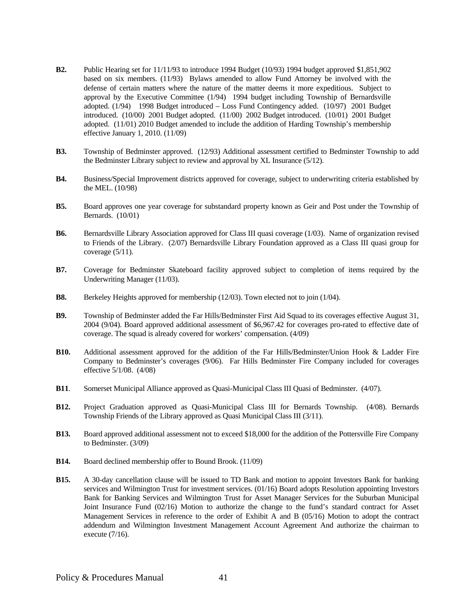- **B2.** Public Hearing set for 11/11/93 to introduce 1994 Budget (10/93) 1994 budget approved \$1,851,902 based on six members. (11/93) Bylaws amended to allow Fund Attorney be involved with the defense of certain matters where the nature of the matter deems it more expeditious. Subject to approval by the Executive Committee (1/94) 1994 budget including Township of Bernardsville adopted. (1/94) 1998 Budget introduced – Loss Fund Contingency added. (10/97) 2001 Budget introduced. (10/00) 2001 Budget adopted. (11/00) 2002 Budget introduced. (10/01) 2001 Budget adopted. (11/01) 2010 Budget amended to include the addition of Harding Township's membership effective January 1, 2010. (11/09)
- **B3.** Township of Bedminster approved. (12/93) Additional assessment certified to Bedminster Township to add the Bedminster Library subject to review and approval by XL Insurance (5/12).
- **B4.** Business/Special Improvement districts approved for coverage, subject to underwriting criteria established by the MEL. (10/98)
- **B5.** Board approves one year coverage for substandard property known as Geir and Post under the Township of Bernards. (10/01)
- **B6.** Bernardsville Library Association approved for Class III quasi coverage (1/03). Name of organization revised to Friends of the Library. (2/07) Bernardsville Library Foundation approved as a Class III quasi group for coverage (5/11).
- **B7.** Coverage for Bedminster Skateboard facility approved subject to completion of items required by the Underwriting Manager (11/03).
- **B8.** Berkeley Heights approved for membership (12/03). Town elected not to join (1/04).
- **B9.** Township of Bedminster added the Far Hills/Bedminster First Aid Squad to its coverages effective August 31, 2004 (9/04). Board approved additional assessment of \$6,967.42 for coverages pro-rated to effective date of coverage. The squad is already covered for workers' compensation. (4/09)
- **B10.** Additional assessment approved for the addition of the Far Hills/Bedminster/Union Hook & Ladder Fire Company to Bedminster's coverages (9/06). Far Hills Bedminster Fire Company included for coverages effective 5/1/08. (4/08)
- **B11**. Somerset Municipal Alliance approved as Quasi-Municipal Class III Quasi of Bedminster. (4/07).
- **B12.** Project Graduation approved as Quasi-Municipal Class III for Bernards Township. (4/08). Bernards Township Friends of the Library approved as Quasi Municipal Class III (3/11).
- **B13.** Board approved additional assessment not to exceed \$18,000 for the addition of the Pottersville Fire Company to Bedminster. (3/09)
- **B14.** Board declined membership offer to Bound Brook. (11/09)
- **B15.** A 30-day cancellation clause will be issued to TD Bank and motion to appoint Investors Bank for banking services and Wilmington Trust for investment services. (01/16) Board adopts Resolution appointing Investors Bank for Banking Services and Wilmington Trust for Asset Manager Services for the Suburban Municipal Joint Insurance Fund (02/16) Motion to authorize the change to the fund's standard contract for Asset Management Services in reference to the order of Exhibit A and B (05/16) Motion to adopt the contract addendum and Wilmington Investment Management Account Agreement And authorize the chairman to execute (7/16).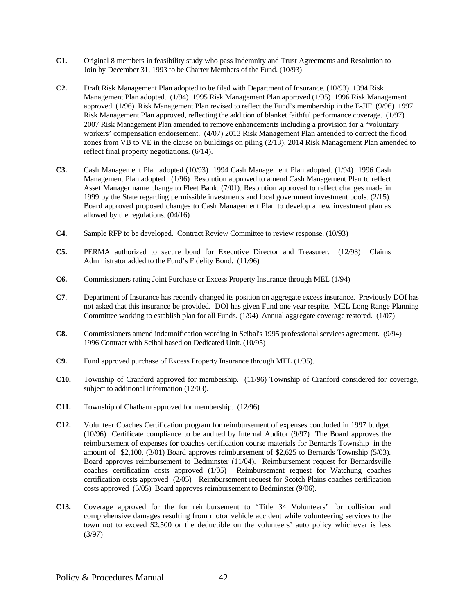- **C1.** Original 8 members in feasibility study who pass Indemnity and Trust Agreements and Resolution to Join by December 31, 1993 to be Charter Members of the Fund. (10/93)
- **C2.** Draft Risk Management Plan adopted to be filed with Department of Insurance. (10/93) 1994 Risk Management Plan adopted. (1/94) 1995 Risk Management Plan approved (1/95) 1996 Risk Management approved. (1/96) Risk Management Plan revised to reflect the Fund's membership in the E-JIF. (9/96) 1997 Risk Management Plan approved, reflecting the addition of blanket faithful performance coverage. (1/97) 2007 Risk Management Plan amended to remove enhancements including a provision for a "voluntary workers' compensation endorsement. (4/07) 2013 Risk Management Plan amended to correct the flood zones from VB to VE in the clause on buildings on piling (2/13). 2014 Risk Management Plan amended to reflect final property negotiations. (6/14).
- **C3.** Cash Management Plan adopted (10/93) 1994 Cash Management Plan adopted. (1/94) 1996 Cash Management Plan adopted. (1/96) Resolution approved to amend Cash Management Plan to reflect Asset Manager name change to Fleet Bank. (7/01). Resolution approved to reflect changes made in 1999 by the State regarding permissible investments and local government investment pools. (2/15). Board approved proposed changes to Cash Management Plan to develop a new investment plan as allowed by the regulations. (04/16)
- **C4.** Sample RFP to be developed. Contract Review Committee to review response. (10/93)
- **C5.** PERMA authorized to secure bond for Executive Director and Treasurer. (12/93) Claims Administrator added to the Fund's Fidelity Bond. (11/96)
- **C6.** Commissioners rating Joint Purchase or Excess Property Insurance through MEL (1/94)
- **C7**. Department of Insurance has recently changed its position on aggregate excess insurance. Previously DOI has not asked that this insurance be provided. DOI has given Fund one year respite. MEL Long Range Planning Committee working to establish plan for all Funds. (1/94) Annual aggregate coverage restored. (1/07)
- **C8.** Commissioners amend indemnification wording in Scibal's 1995 professional services agreement. (9/94) 1996 Contract with Scibal based on Dedicated Unit. (10/95)
- **C9.** Fund approved purchase of Excess Property Insurance through MEL (1/95).
- **C10.** Township of Cranford approved for membership. (11/96) Township of Cranford considered for coverage, subject to additional information (12/03).
- **C11.** Township of Chatham approved for membership. (12/96)
- **C12.** Volunteer Coaches Certification program for reimbursement of expenses concluded in 1997 budget. (10/96) Certificate compliance to be audited by Internal Auditor (9/97) The Board approves the reimbursement of expenses for coaches certification course materials for Bernards Township in the amount of \$2,100. (3/01) Board approves reimbursement of \$2,625 to Bernards Township (5/03). Board approves reimbursement to Bedminster (11/04). Reimbursement request for Bernardsville coaches certification costs approved (1/05) Reimbursement request for Watchung coaches certification costs approved (2/05) Reimbursement request for Scotch Plains coaches certification costs approved (5/05) Board approves reimbursement to Bedminster (9/06).
- **C13.** Coverage approved for the for reimbursement to "Title 34 Volunteers" for collision and comprehensive damages resulting from motor vehicle accident while volunteering services to the town not to exceed \$2,500 or the deductible on the volunteers' auto policy whichever is less (3/97)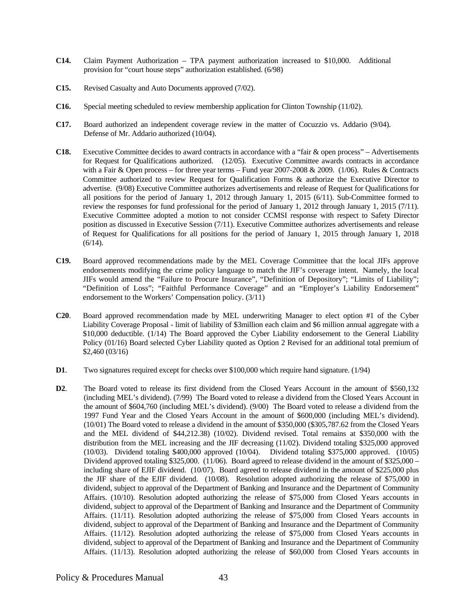- **C14.** Claim Payment Authorization TPA payment authorization increased to \$10,000. Additional provision for "court house steps" authorization established. (6/98)
- **C15.** Revised Casualty and Auto Documents approved (7/02).
- **C16.** Special meeting scheduled to review membership application for Clinton Township (11/02).
- **C17.** Board authorized an independent coverage review in the matter of Cocuzzio vs. Addario (9/04). Defense of Mr. Addario authorized (10/04).
- **C18.** Executive Committee decides to award contracts in accordance with a "fair & open process" Advertisements for Request for Qualifications authorized. (12/05). Executive Committee awards contracts in accordance with a Fair & Open process – for three year terms – Fund year 2007-2008 & 2009. (1/06). Rules & Contracts Committee authorized to review Request for Qualification Forms & authorize the Executive Director to advertise. (9/08) Executive Committee authorizes advertisements and release of Request for Qualifications for all positions for the period of January 1, 2012 through January 1, 2015 (6/11). Sub-Committee formed to review the responses for fund professional for the period of January 1, 2012 through January 1, 2015 (7/11). Executive Committee adopted a motion to not consider CCMSI response with respect to Safety Director position as discussed in Executive Session (7/11). Executive Committee authorizes advertisements and release of Request for Qualifications for all positions for the period of January 1, 2015 through January 1, 2018  $(6/14)$ .
- **C19.** Board approved recommendations made by the MEL Coverage Committee that the local JIFs approve endorsements modifying the crime policy language to match the JIF's coverage intent. Namely, the local JIFs would amend the "Failure to Procure Insurance", "Definition of Depository"; "Limits of Liability"; "Definition of Loss"; "Faithful Performance Coverage" and an "Employer's Liability Endorsement" endorsement to the Workers' Compensation policy. (3/11)
- **C20**. Board approved recommendation made by MEL underwriting Manager to elect option #1 of the Cyber Liability Coverage Proposal - limit of liability of \$3million each claim and \$6 million annual aggregate with a \$10,000 deductible. (1/14) The Board approved the Cyber Liability endorsement to the General Liability Policy (01/16) Board selected Cyber Liability quoted as Option 2 Revised for an additional total premium of \$2,460 (03/16)
- **D1**. Two signatures required except for checks over \$100,000 which require hand signature. (1/94)
- **D2**. The Board voted to release its first dividend from the Closed Years Account in the amount of \$560,132 (including MEL's dividend). (7/99) The Board voted to release a dividend from the Closed Years Account in the amount of \$604,760 (including MEL's dividend). (9/00) The Board voted to release a dividend from the 1997 Fund Year and the Closed Years Account in the amount of \$600,000 (including MEL's dividend). (10/01) The Board voted to release a dividend in the amount of \$350,000 (\$305,787.62 from the Closed Years and the MEL dividend of \$44,212.38) (10/02). Dividend revised. Total remains at \$350,000 with the distribution from the MEL increasing and the JIF decreasing (11/02). Dividend totaling \$325,000 approved (10/03). Dividend totaling \$400,000 approved (10/04). Dividend totaling \$375,000 approved. (10/05) Dividend approved totaling \$325,000. (11/06). Board agreed to release dividend in the amount of \$325,000 – including share of EJIF dividend. (10/07). Board agreed to release dividend in the amount of \$225,000 plus the JIF share of the EJIF dividend. (10/08). Resolution adopted authorizing the release of \$75,000 in dividend, subject to approval of the Department of Banking and Insurance and the Department of Community Affairs. (10/10). Resolution adopted authorizing the release of \$75,000 from Closed Years accounts in dividend, subject to approval of the Department of Banking and Insurance and the Department of Community Affairs. (11/11). Resolution adopted authorizing the release of \$75,000 from Closed Years accounts in dividend, subject to approval of the Department of Banking and Insurance and the Department of Community Affairs. (11/12). Resolution adopted authorizing the release of \$75,000 from Closed Years accounts in dividend, subject to approval of the Department of Banking and Insurance and the Department of Community Affairs. (11/13). Resolution adopted authorizing the release of \$60,000 from Closed Years accounts in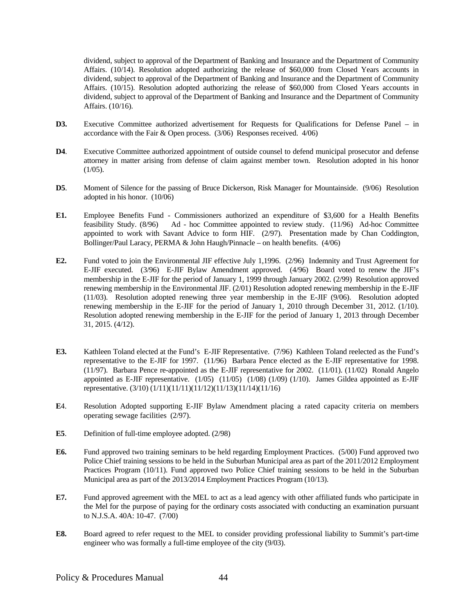dividend, subject to approval of the Department of Banking and Insurance and the Department of Community Affairs. (10/14). Resolution adopted authorizing the release of \$60,000 from Closed Years accounts in dividend, subject to approval of the Department of Banking and Insurance and the Department of Community Affairs. (10/15). Resolution adopted authorizing the release of \$60,000 from Closed Years accounts in dividend, subject to approval of the Department of Banking and Insurance and the Department of Community Affairs. (10/16).

- **D3.** Executive Committee authorized advertisement for Requests for Qualifications for Defense Panel in accordance with the Fair & Open process. (3/06) Responses received. 4/06)
- **D4**. Executive Committee authorized appointment of outside counsel to defend municipal prosecutor and defense attorney in matter arising from defense of claim against member town. Resolution adopted in his honor  $(1/05)$ .
- **D5**. Moment of Silence for the passing of Bruce Dickerson, Risk Manager for Mountainside. (9/06) Resolution adopted in his honor. (10/06)
- **E1.** Employee Benefits Fund Commissioners authorized an expenditure of \$3,600 for a Health Benefits feasibility Study. (8/96) Ad - hoc Committee appointed to review study. (11/96) Ad-hoc Committee appointed to work with Savant Advice to form HIF. (2/97). Presentation made by Chan Coddington, Bollinger/Paul Laracy, PERMA & John Haugh/Pinnacle – on health benefits. (4/06)
- **E2.** Fund voted to join the Environmental JIF effective July 1,1996. (2/96) Indemnity and Trust Agreement for E-JIF executed. (3/96) E-JIF Bylaw Amendment approved. (4/96) Board voted to renew the JIF's membership in the E-JIF for the period of January 1, 1999 through January 2002. (2/99) Resolution approved renewing membership in the Environmental JIF. (2/01) Resolution adopted renewing membership in the E-JIF (11/03). Resolution adopted renewing three year membership in the E-JIF (9/06). Resolution adopted renewing membership in the E-JIF for the period of January 1, 2010 through December 31, 2012. (1/10). Resolution adopted renewing membership in the E-JIF for the period of January 1, 2013 through December 31, 2015. (4/12).
- **E3.** Kathleen Toland elected at the Fund's E-JIF Representative. (7/96) Kathleen Toland reelected as the Fund's representative to the E-JIF for 1997. (11/96) Barbara Pence elected as the E-JIF representative for 1998. (11/97). Barbara Pence re-appointed as the E-JIF representative for 2002. (11/01). (11/02) Ronald Angelo appointed as E-JIF representative. (1/05) (11/05) (1/08) (1/09) (1/10). James Gildea appointed as E-JIF representative. (3/10) (1/11)(11/11)(11/12)(11/13)(11/14)(11/16)
- **E**4. Resolution Adopted supporting E-JIF Bylaw Amendment placing a rated capacity criteria on members operating sewage facilities (2/97).
- **E5.** Definition of full-time employee adopted. (2/98)
- **E6.** Fund approved two training seminars to be held regarding Employment Practices. (5/00) Fund approved two Police Chief training sessions to be held in the Suburban Municipal area as part of the 2011/2012 Employment Practices Program (10/11). Fund approved two Police Chief training sessions to be held in the Suburban Municipal area as part of the 2013/2014 Employment Practices Program (10/13).
- **E7.** Fund approved agreement with the MEL to act as a lead agency with other affiliated funds who participate in the Mel for the purpose of paying for the ordinary costs associated with conducting an examination pursuant to N.J.S.A. 40A: 10-47. (7/00)
- **E8.** Board agreed to refer request to the MEL to consider providing professional liability to Summit's part-time engineer who was formally a full-time employee of the city (9/03).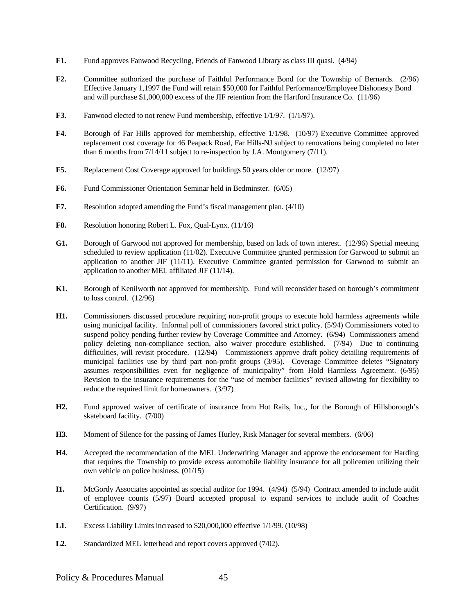- **F1.** Fund approves Fanwood Recycling, Friends of Fanwood Library as class III quasi. (4/94)
- **F2.** Committee authorized the purchase of Faithful Performance Bond for the Township of Bernards. (2/96) Effective January 1,1997 the Fund will retain \$50,000 for Faithful Performance/Employee Dishonesty Bond and will purchase \$1,000,000 excess of the JIF retention from the Hartford Insurance Co. (11/96)
- F3. Fanwood elected to not renew Fund membership, effective 1/1/97. (1/1/97).
- **F4.** Borough of Far Hills approved for membership, effective 1/1/98. (10/97) Executive Committee approved replacement cost coverage for 46 Peapack Road, Far Hills-NJ subject to renovations being completed no later than 6 months from 7/14/11 subject to re-inspection by J.A. Montgomery (7/11).
- **F5.** Replacement Cost Coverage approved for buildings 50 years older or more. (12/97)
- **F6.** Fund Commissioner Orientation Seminar held in Bedminster. (6/05)
- **F7.** Resolution adopted amending the Fund's fiscal management plan. (4/10)
- **F8.** Resolution honoring Robert L. Fox, Qual-Lynx. (11/16)
- **G1.** Borough of Garwood not approved for membership, based on lack of town interest. (12/96) Special meeting scheduled to review application (11/02). Executive Committee granted permission for Garwood to submit an application to another JIF (11/11). Executive Committee granted permission for Garwood to submit an application to another MEL affiliated JIF (11/14).
- **K1.** Borough of Kenilworth not approved for membership. Fund will reconsider based on borough's commitment to loss control. (12/96)
- **H1.** Commissioners discussed procedure requiring non-profit groups to execute hold harmless agreements while using municipal facility. Informal poll of commissioners favored strict policy. (5/94) Commissioners voted to suspend policy pending further review by Coverage Committee and Attorney. (6/94) Commissioners amend policy deleting non-compliance section, also waiver procedure established. (7/94) Due to continuing difficulties, will revisit procedure. (12/94) Commissioners approve draft policy detailing requirements of municipal facilities use by third part non-profit groups (3/95). Coverage Committee deletes "Signatory assumes responsibilities even for negligence of municipality" from Hold Harmless Agreement. (6/95) Revision to the insurance requirements for the "use of member facilities" revised allowing for flexibility to reduce the required limit for homeowners. (3/97)
- **H2.** Fund approved waiver of certificate of insurance from Hot Rails, Inc., for the Borough of Hillsborough's skateboard facility. (7/00)
- **H3**. Moment of Silence for the passing of James Hurley, Risk Manager for several members. (6/06)
- **H4**. Accepted the recommendation of the MEL Underwriting Manager and approve the endorsement for Harding that requires the Township to provide excess automobile liability insurance for all policemen utilizing their own vehicle on police business. (01/15)
- **I1.** McGordy Associates appointed as special auditor for 1994. (4/94) (5/94) Contract amended to include audit of employee counts (5/97) Board accepted proposal to expand services to include audit of Coaches Certification. (9/97)
- **L1.** Excess Liability Limits increased to \$20,000,000 effective 1/1/99. (10/98)
- **L2.** Standardized MEL letterhead and report covers approved (7/02).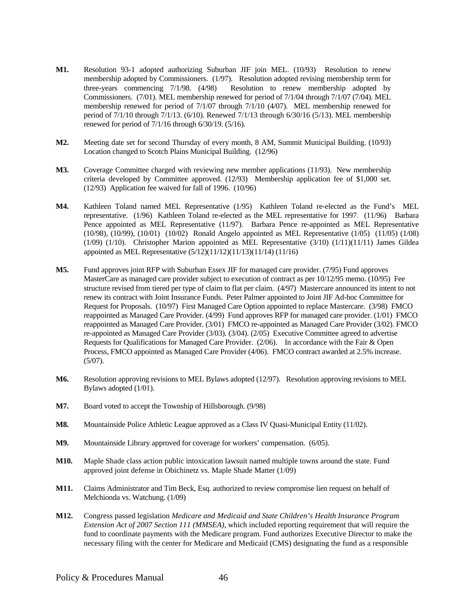- **M1.** Resolution 93-1 adopted authorizing Suburban JIF join MEL. (10/93) Resolution to renew membership adopted by Commissioners. (1/97). Resolution adopted revising membership term for three-years commencing 7/1/98. (4/98) Resolution to renew membership adopted by Commissioners. (7/01). MEL membership renewed for period of 7/1/04 through 7/1/07 (7/04). MEL membership renewed for period of 7/1/07 through 7/1/10 (4/07). MEL membership renewed for period of 7/1/10 through 7/1/13. (6/10). Renewed 7/1/13 through 6/30/16 (5/13). MEL membership renewed for period of 7/1/16 through 6/30/19. (5/16).
- **M2.** Meeting date set for second Thursday of every month, 8 AM, Summit Municipal Building. (10/93) Location changed to Scotch Plains Municipal Building. (12/96)
- **M3.** Coverage Committee charged with reviewing new member applications (11/93). New membership criteria developed by Committee approved. (12/93) Membership application fee of \$1,000 set. (12/93) Application fee waived for fall of 1996. (10/96)
- **M4.** Kathleen Toland named MEL Representative (1/95) Kathleen Toland re-elected as the Fund's MEL representative. (1/96) Kathleen Toland re-elected as the MEL representative for 1997. (11/96) Barbara Pence appointed as MEL Representative (11/97). Barbara Pence re-appointed as MEL Representative (10/98), (10/99), (10/01) (10/02) Ronald Angelo appointed as MEL Representative (1/05) (11/05) (1/08) (1/09) (1/10). Christopher Marion appointed as MEL Representative (3/10) (1/11)(11/11) James Gildea appointed as MEL Representative (5/12)(11/12)(11/13)(11/14) (11/16)
- **M5.** Fund approves joint RFP with Suburban Essex JIF for managed care provider. (7/95) Fund approves MasterCare as managed care provider subject to execution of contract as per 10/12/95 memo. (10/95) Fee structure revised from tiered per type of claim to flat per claim. (4/97) Mastercare announced its intent to not renew its contract with Joint Insurance Funds. Peter Palmer appointed to Joint JIF Ad-hoc Committee for Request for Proposals. (10/97) First Managed Care Option appointed to replace Mastercare. (3/98) FMCO reappointed as Managed Care Provider. (4/99) Fund approves RFP for managed care provider. (1/01) FMCO reappointed as Managed Care Provider. (3/01) FMCO re-appointed as Managed Care Provider (3/02). FMCO re-appointed as Managed Care Provider (3/03). (3/04). (2/05) Executive Committee agreed to advertise Requests for Qualifications for Managed Care Provider. (2/06). In accordance with the Fair & Open Process, FMCO appointed as Managed Care Provider (4/06). FMCO contract awarded at 2.5% increase.  $(5/07)$ .
- **M6.** Resolution approving revisions to MEL Bylaws adopted (12/97). Resolution approving revisions to MEL Bylaws adopted (1/01).
- **M7.** Board voted to accept the Township of Hillsborough. (9/98)
- **M8.** Mountainside Police Athletic League approved as a Class IV Quasi-Municipal Entity (11/02).
- **M9.** Mountainside Library approved for coverage for workers' compensation. (6/05).
- **M10.** Maple Shade class action public intoxication lawsuit named multiple towns around the state. Fund approved joint defense in Obichinetz vs. Maple Shade Matter (1/09)
- **M11.** Claims Administrator and Tim Beck, Esq. authorized to review compromise lien request on behalf of Melchionda vs. Watchung. (1/09)
- **M12.** Congress passed legislation *Medicare and Medicaid and State Children's Health Insurance Program Extension Act of 2007 Section 111 (MMSEA)*, which included reporting requirement that will require the fund to coordinate payments with the Medicare program. Fund authorizes Executive Director to make the necessary filing with the center for Medicare and Medicaid (CMS) designating the fund as a responsible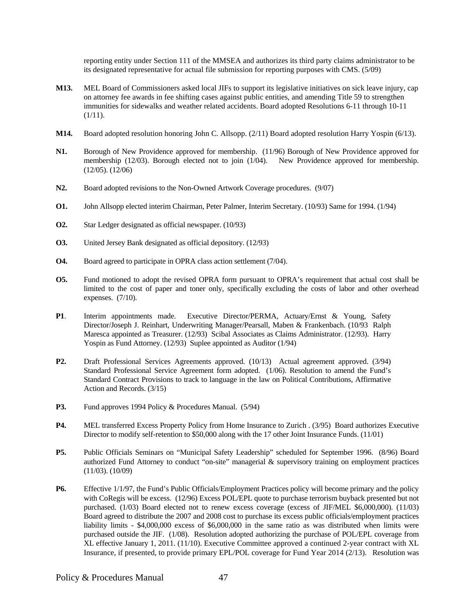reporting entity under Section 111 of the MMSEA and authorizes its third party claims administrator to be its designated representative for actual file submission for reporting purposes with CMS. (5/09)

- **M13.** MEL Board of Commissioners asked local JIFs to support its legislative initiatives on sick leave injury, cap on attorney fee awards in fee shifting cases against public entities, and amending Title 59 to strengthen immunities for sidewalks and weather related accidents. Board adopted Resolutions 6-11 through 10-11  $(1/11)$ .
- **M14.** Board adopted resolution honoring John C. Allsopp. (2/11) Board adopted resolution Harry Yospin (6/13).
- **N1.** Borough of New Providence approved for membership. (11/96) Borough of New Providence approved for membership (12/03). Borough elected not to join (1/04). New Providence approved for membership. (12/05). (12/06)
- **N2.** Board adopted revisions to the Non-Owned Artwork Coverage procedures. (9/07)
- **O1.** John Allsopp elected interim Chairman, Peter Palmer, Interim Secretary. (10/93) Same for 1994. (1/94)
- **O2.** Star Ledger designated as official newspaper. (10/93)
- **O3.** United Jersey Bank designated as official depository. (12/93)
- **O4.** Board agreed to participate in OPRA class action settlement (7/04).
- **O5.** Fund motioned to adopt the revised OPRA form pursuant to OPRA's requirement that actual cost shall be limited to the cost of paper and toner only, specifically excluding the costs of labor and other overhead expenses. (7/10).
- **P1**. Interim appointments made. Executive Director/PERMA, Actuary/Ernst & Young, Safety Director/Joseph J. Reinhart, Underwriting Manager/Pearsall, Maben & Frankenbach. (10/93 Ralph Maresca appointed as Treasurer. (12/93) Scibal Associates as Claims Administrator. (12/93). Harry Yospin as Fund Attorney. (12/93) Suplee appointed as Auditor (1/94)
- **P2.** Draft Professional Services Agreements approved. (10/13) Actual agreement approved. (3/94) Standard Professional Service Agreement form adopted. (1/06). Resolution to amend the Fund's Standard Contract Provisions to track to language in the law on Political Contributions, Affirmative Action and Records. (3/15)
- **P3.** Fund approves 1994 Policy & Procedures Manual. (5/94)
- **P4.** MEL transferred Excess Property Policy from Home Insurance to Zurich . (3/95) Board authorizes Executive Director to modify self-retention to \$50,000 along with the 17 other Joint Insurance Funds. (11/01)
- **P5.** Public Officials Seminars on "Municipal Safety Leadership" scheduled for September 1996. (8/96) Board authorized Fund Attorney to conduct "on-site" managerial & supervisory training on employment practices (11/03). (10/09)
- **P6.** Effective 1/1/97, the Fund's Public Officials/Employment Practices policy will become primary and the policy with CoRegis will be excess. (12/96) Excess POL/EPL quote to purchase terrorism buyback presented but not purchased. (1/03) Board elected not to renew excess coverage (excess of JIF/MEL \$6,000,000). (11/03) Board agreed to distribute the 2007 and 2008 cost to purchase its excess public officials/employment practices liability limits - \$4,000,000 excess of \$6,000,000 in the same ratio as was distributed when limits were purchased outside the JIF. (1/08). Resolution adopted authorizing the purchase of POL/EPL coverage from XL effective January 1, 2011. (11/10). Executive Committee approved a continued 2-year contract with XL Insurance, if presented, to provide primary EPL/POL coverage for Fund Year 2014 (2/13). Resolution was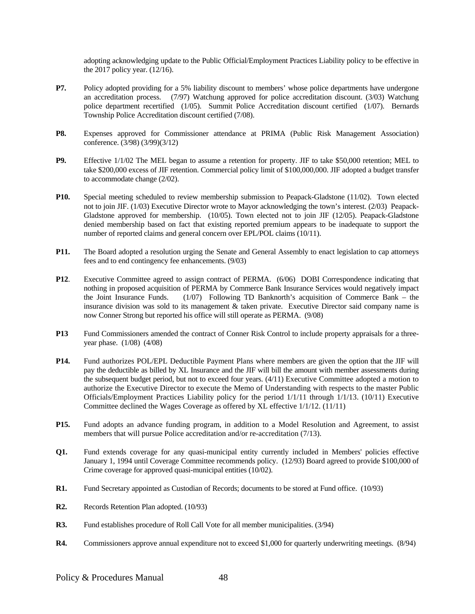adopting acknowledging update to the Public Official/Employment Practices Liability policy to be effective in the 2017 policy year. (12/16).

- **P7.** Policy adopted providing for a 5% liability discount to members' whose police departments have undergone an accreditation process. (7/97) Watchung approved for police accreditation discount. (3/03) Watchung police department recertified (1/05). Summit Police Accreditation discount certified (1/07). Bernards Township Police Accreditation discount certified (7/08).
- **P8.** Expenses approved for Commissioner attendance at PRIMA (Public Risk Management Association) conference. (3/98) (3/99)(3/12)
- **P9.** Effective  $1/1/02$  The MEL began to assume a retention for property. JIF to take \$50,000 retention; MEL to take \$200,000 excess of JIF retention. Commercial policy limit of \$100,000,000. JIF adopted a budget transfer to accommodate change (2/02).
- **P10.** Special meeting scheduled to review membership submission to Peapack-Gladstone (11/02). Town elected not to join JIF. (1/03) Executive Director wrote to Mayor acknowledging the town's interest. (2/03) Peapack-Gladstone approved for membership. (10/05). Town elected not to join JIF (12/05). Peapack-Gladstone denied membership based on fact that existing reported premium appears to be inadequate to support the number of reported claims and general concern over EPL/POL claims (10/11).
- **P11.** The Board adopted a resolution urging the Senate and General Assembly to enact legislation to cap attorneys fees and to end contingency fee enhancements. (9/03)
- **P12**. Executive Committee agreed to assign contract of PERMA. (6/06) DOBI Correspondence indicating that nothing in proposed acquisition of PERMA by Commerce Bank Insurance Services would negatively impact the Joint Insurance Funds. (1/07) Following TD Banknorth's acquisition of Commerce Bank – the insurance division was sold to its management & taken private. Executive Director said company name is now Conner Strong but reported his office will still operate as PERMA. (9/08)
- **P13** Fund Commissioners amended the contract of Conner Risk Control to include property appraisals for a threeyear phase. (1/08) (4/08)
- **P14.** Fund authorizes POL/EPL Deductible Payment Plans where members are given the option that the JIF will pay the deductible as billed by XL Insurance and the JIF will bill the amount with member assessments during the subsequent budget period, but not to exceed four years. (4/11) Executive Committee adopted a motion to authorize the Executive Director to execute the Memo of Understanding with respects to the master Public Officials/Employment Practices Liability policy for the period 1/1/11 through 1/1/13. (10/11) Executive Committee declined the Wages Coverage as offered by XL effective 1/1/12. (11/11)
- **P15.** Fund adopts an advance funding program, in addition to a Model Resolution and Agreement, to assist members that will pursue Police accreditation and/or re-accreditation (7/13).
- **Q1.** Fund extends coverage for any quasi-municipal entity currently included in Members' policies effective January 1, 1994 until Coverage Committee recommends policy. (12/93) Board agreed to provide \$100,000 of Crime coverage for approved quasi-municipal entities (10/02).
- **R1.** Fund Secretary appointed as Custodian of Records; documents to be stored at Fund office. (10/93)
- **R2.** Records Retention Plan adopted. (10/93)
- **R3.** Fund establishes procedure of Roll Call Vote for all member municipalities. (3/94)
- **R4.** Commissioners approve annual expenditure not to exceed \$1,000 for quarterly underwriting meetings. (8/94)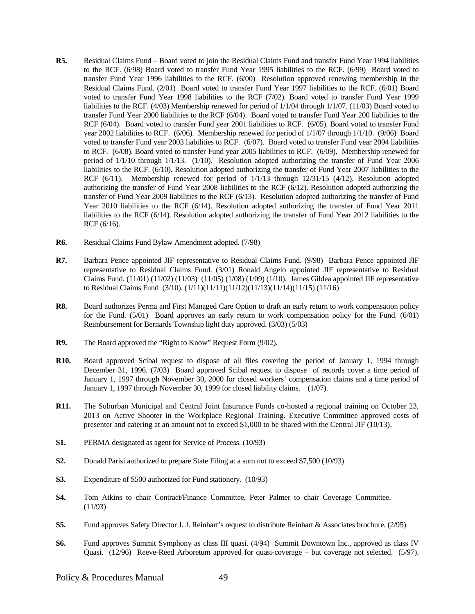- **R5.** Residual Claims Fund Board voted to join the Residual Claims Fund and transfer Fund Year 1994 liabilities to the RCF. (6/98) Board voted to transfer Fund Year 1995 liabilities to the RCF. (6/99) Board voted to transfer Fund Year 1996 liabilities to the RCF. (6/00) Resolution approved renewing membership in the Residual Claims Fund. (2/01) Board voted to transfer Fund Year 1997 liabilities to the RCF. (6/01) Board voted to transfer Fund Year 1998 liabilities to the RCF (7/02). Board voted to transfer Fund Year 1999 liabilities to the RCF. (4/03) Membership renewed for period of 1/1/04 through 1/1/07. (11/03) Board voted to transfer Fund Year 2000 liabilities to the RCF (6/04). Board voted to transfer Fund Year 200 liabilities to the RCF (6/04). Board voted to transfer Fund year 2001 liabilities to RCF. (6/05). Board voted to transfer Fund year 2002 liabilities to RCF. (6/06). Membership renewed for period of 1/1/07 through 1/1/10. (9/06) Board voted to transfer Fund year 2003 liabilities to RCF. (6/07). Board voted to transfer Fund year 2004 liabilities to RCF. (6/08). Board voted to transfer Fund year 2005 liabilities to RCF. (6/09). Membership renewed for period of 1/1/10 through 1/1/13. (1/10). Resolution adopted authorizing the transfer of Fund Year 2006 liabilities to the RCF. (6/10). Resolution adopted authorizing the transfer of Fund Year 2007 liabilities to the RCF (6/11). Membership renewed for period of 1/1/13 through 12/31/15 (4/12). Resolution adopted authorizing the transfer of Fund Year 2008 liabilities to the RCF (6/12). Resolution adopted authorizing the transfer of Fund Year 2009 liabilities to the RCF (6/13). Resolution adopted authorizing the transfer of Fund Year 2010 liabilities to the RCF (6/14). Resolution adopted authorizing the transfer of Fund Year 2011 liabilities to the RCF (6/14). Resolution adopted authorizing the transfer of Fund Year 2012 liabilities to the RCF (6/16).
- **R6.** Residual Claims Fund Bylaw Amendment adopted. (7/98)
- **R7.** Barbara Pence appointed JIF representative to Residual Claims Fund. (9/98) Barbara Pence appointed JIF representative to Residual Claims Fund. (3/01) Ronald Angelo appointed JIF representative to Residual Claims Fund. (11/01) (11/02) (11/03) (11/05) (1/08) (1/09) (1/10). James Gildea appointed JIF representative to Residual Claims Fund (3/10). (1/11)(11/11)(11/12)(11/13)(11/14)(11/15) (11/16)
- **R8.** Board authorizes Perma and First Managed Care Option to draft an early return to work compensation policy for the Fund. (5/01) Board approves an early return to work compensation policy for the Fund. (6/01) Reimbursement for Bernards Township light duty approved. (3/03) (5/03)
- **R9.** The Board approved the "Right to Know" Request Form (9/02).
- **R10.** Board approved Scibal request to dispose of all files covering the period of January 1, 1994 through December 31, 1996. (7/03) Board approved Scibal request to dispose of records cover a time period of January 1, 1997 through November 30, 2000 for closed workers' compensation claims and a time period of January 1, 1997 through November 30, 1999 for closed liability claims. (1/07).
- **R11.** The Suburban Municipal and Central Joint Insurance Funds co-hosted a regional training on October 23, 2013 on Active Shooter in the Workplace Regional Training. Executive Committee approved costs of presenter and catering at an amount not to exceed \$1,000 to be shared with the Central JIF (10/13).
- **S1.** PERMA designated as agent for Service of Process. (10/93)
- **S2.** Donald Parisi authorized to prepare State Filing at a sum not to exceed \$7,500 (10/93)
- **S3.** Expenditure of \$500 authorized for Fund stationery. (10/93)
- **S4.** Tom Atkins to chair Contract/Finance Committee, Peter Palmer to chair Coverage Committee. (11/93)
- **S5.** Fund approves Safety Director J. J. Reinhart's request to distribute Reinhart & Associates brochure. (2/95)
- **S6.** Fund approves Summit Symphony as class III quasi. (4/94) Summit Downtown Inc., approved as class IV Quasi. (12/96) Reeve-Reed Arboretum approved for quasi-coverage – but coverage not selected. (5/97).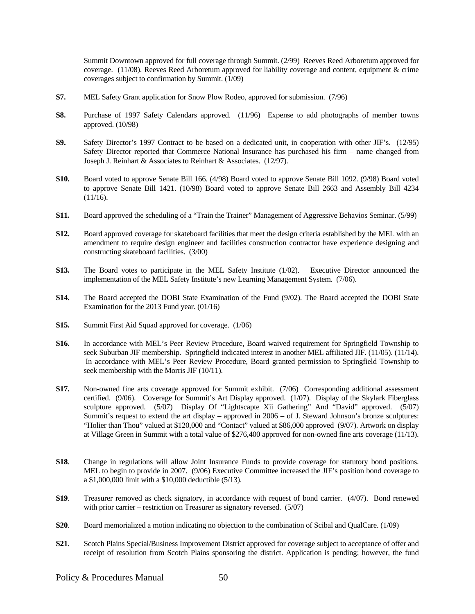Summit Downtown approved for full coverage through Summit. (2/99) Reeves Reed Arboretum approved for coverage. (11/08). Reeves Reed Arboretum approved for liability coverage and content, equipment & crime coverages subject to confirmation by Summit. (1/09)

- **S7.** MEL Safety Grant application for Snow Plow Rodeo, approved for submission. (7/96)
- **S8.** Purchase of 1997 Safety Calendars approved. (11/96) Expense to add photographs of member towns approved. (10/98)
- **S9.** Safety Director's 1997 Contract to be based on a dedicated unit, in cooperation with other JIF's. (12/95) Safety Director reported that Commerce National Insurance has purchased his firm – name changed from Joseph J. Reinhart & Associates to Reinhart & Associates. (12/97).
- **S10.** Board voted to approve Senate Bill 166. (4/98) Board voted to approve Senate Bill 1092. (9/98) Board voted to approve Senate Bill 1421. (10/98) Board voted to approve Senate Bill 2663 and Assembly Bill 4234  $(11/16)$ .
- **S11.** Board approved the scheduling of a "Train the Trainer" Management of Aggressive Behavios Seminar. (5/99)
- **S12.** Board approved coverage for skateboard facilities that meet the design criteria established by the MEL with an amendment to require design engineer and facilities construction contractor have experience designing and constructing skateboard facilities. (3/00)
- **S13.** The Board votes to participate in the MEL Safety Institute (1/02). Executive Director announced the implementation of the MEL Safety Institute's new Learning Management System. (7/06).
- **S14.** The Board accepted the DOBI State Examination of the Fund (9/02). The Board accepted the DOBI State Examination for the 2013 Fund year. (01/16)
- **S15.** Summit First Aid Squad approved for coverage. (1/06)
- **S16.** In accordance with MEL's Peer Review Procedure, Board waived requirement for Springfield Township to seek Suburban JIF membership. Springfield indicated interest in another MEL affiliated JIF. (11/05). (11/14). In accordance with MEL's Peer Review Procedure, Board granted permission to Springfield Township to seek membership with the Morris JIF (10/11).
- **S17.** Non-owned fine arts coverage approved for Summit exhibit. (7/06) Corresponding additional assessment certified. (9/06). Coverage for Summit's Art Display approved. (1/07). Display of the Skylark Fiberglass sculpture approved. (5/07) Display Of "Lightscapte Xii Gathering" And "David" approved. (5/07) Summit's request to extend the art display – approved in 2006 – of J. Steward Johnson's bronze sculptures: "Holier than Thou" valued at \$120,000 and "Contact" valued at \$86,000 approved (9/07). Artwork on display at Village Green in Summit with a total value of \$276,400 approved for non-owned fine arts coverage (11/13).
- **S18**. Change in regulations will allow Joint Insurance Funds to provide coverage for statutory bond positions. MEL to begin to provide in 2007. (9/06) Executive Committee increased the JIF's position bond coverage to a \$1,000,000 limit with a \$10,000 deductible (5/13).
- **S19**. Treasurer removed as check signatory, in accordance with request of bond carrier. (4/07). Bond renewed with prior carrier – restriction on Treasurer as signatory reversed. (5/07)
- **S20**. Board memorialized a motion indicating no objection to the combination of Scibal and QualCare. (1/09)
- **S21**. Scotch Plains Special/Business Improvement District approved for coverage subject to acceptance of offer and receipt of resolution from Scotch Plains sponsoring the district. Application is pending; however, the fund